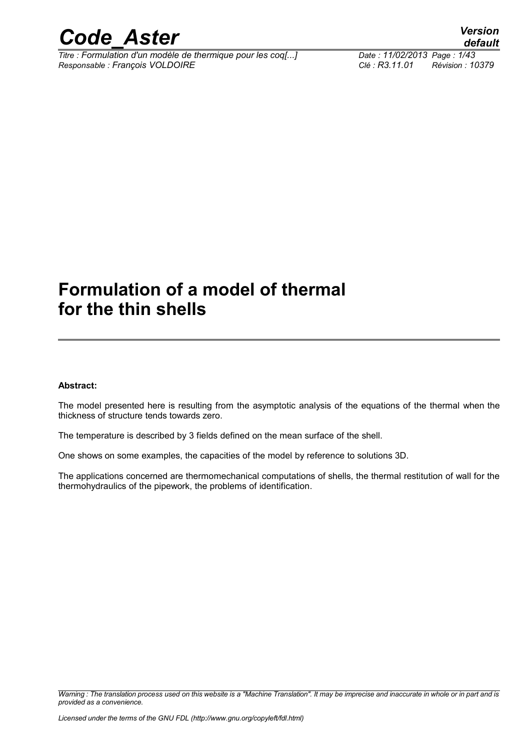

*Titre : Formulation d'un modèle de thermique pour les coq[...] Date : 11/02/2013 Page : 1/43 Responsable : François VOLDOIRE Clé : R3.11.01 Révision : 10379*

### **Formulation of a model of thermal for the thin shells**

#### **Abstract:**

The model presented here is resulting from the asymptotic analysis of the equations of the thermal when the thickness of structure tends towards zero.

The temperature is described by 3 fields defined on the mean surface of the shell.

One shows on some examples, the capacities of the model by reference to solutions 3D.

The applications concerned are thermomechanical computations of shells, the thermal restitution of wall for the thermohydraulics of the pipework, the problems of identification.

*Warning : The translation process used on this website is a "Machine Translation". It may be imprecise and inaccurate in whole or in part and is provided as a convenience.*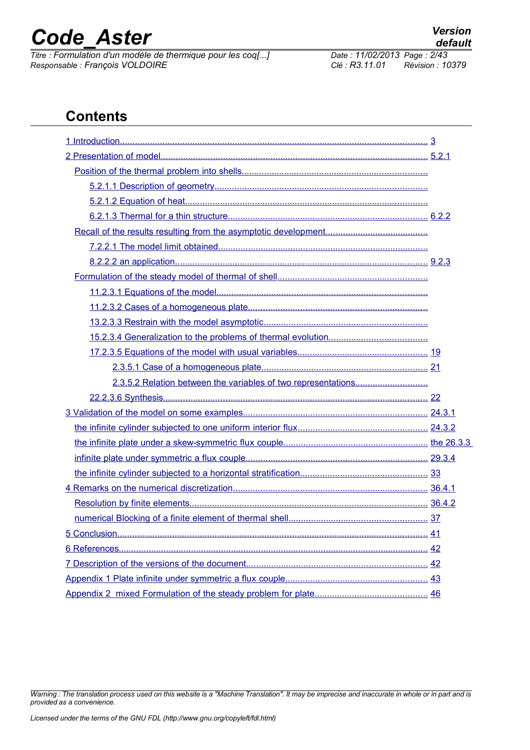*Titre : Formulation d'un modèle de thermique pour les coq[...] Date : 11/02/2013 Page : <sup>2</sup>/43/43 Page : Prancois VOLDOIRE Responsable : François VOLDOIRE Clé : R3.11.01 Révision : 10379*

*Warning : The translation process used on this website is a "Machine Translation". It may be imprecise and inaccurate in whole or in part and is*

### **Contents**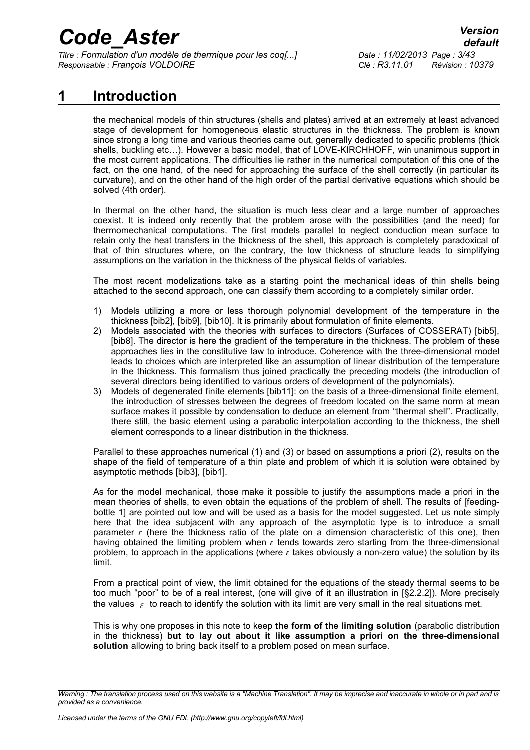*Titre : Formulation d'un modèle de thermique pour les coq[...] Date : 11/02/2013 Page : 3/43 Responsable : François VOLDOIRE Clé : R3.11.01 Révision : 10379*

### **1 Introduction**

<span id="page-2-0"></span>the mechanical models of thin structures (shells and plates) arrived at an extremely at least advanced stage of development for homogeneous elastic structures in the thickness. The problem is known since strong a long time and various theories came out, generally dedicated to specific problems (thick shells, buckling etc…). However a basic model, that of LOVE-KIRCHHOFF, win unanimous support in the most current applications. The difficulties lie rather in the numerical computation of this one of the fact, on the one hand, of the need for approaching the surface of the shell correctly (in particular its curvature), and on the other hand of the high order of the partial derivative equations which should be solved (4th order).

In thermal on the other hand, the situation is much less clear and a large number of approaches coexist. It is indeed only recently that the problem arose with the possibilities (and the need) for thermomechanical computations. The first models parallel to neglect conduction mean surface to retain only the heat transfers in the thickness of the shell, this approach is completely paradoxical of that of thin structures where, on the contrary, the low thickness of structure leads to simplifying assumptions on the variation in the thickness of the physical fields of variables.

The most recent modelizations take as a starting point the mechanical ideas of thin shells being attached to the second approach, one can classify them according to a completely similar order.

- 1) Models utilizing a more or less thorough polynomial development of the temperature in the thickness [bib2], [bib9], [bib10]. It is primarily about formulation of finite elements.
- 2) Models associated with the theories with surfaces to directors (Surfaces of COSSERAT) [bib5], [bib8]. The director is here the gradient of the temperature in the thickness. The problem of these approaches lies in the constitutive law to introduce. Coherence with the three-dimensional model leads to choices which are interpreted like an assumption of linear distribution of the temperature in the thickness. This formalism thus joined practically the preceding models (the introduction of several directors being identified to various orders of development of the polynomials).
- 3) Models of degenerated finite elements [bib11]: on the basis of a three-dimensional finite element, the introduction of stresses between the degrees of freedom located on the same norm at mean surface makes it possible by condensation to deduce an element from "thermal shell". Practically, there still, the basic element using a parabolic interpolation according to the thickness, the shell element corresponds to a linear distribution in the thickness.

Parallel to these approaches numerical (1) and (3) or based on assumptions a priori (2), results on the shape of the field of temperature of a thin plate and problem of which it is solution were obtained by asymptotic methods [bib3], [bib1].

As for the model mechanical, those make it possible to justify the assumptions made a priori in the mean theories of shells, to even obtain the equations of the problem of shell. The results of [feedingbottle 1] are pointed out low and will be used as a basis for the model suggested. Let us note simply here that the idea subjacent with any approach of the asymptotic type is to introduce a small parameter  $\epsilon$  (here the thickness ratio of the plate on a dimension characteristic of this one), then having obtained the limiting problem when  $\epsilon$  tends towards zero starting from the three-dimensional problem, to approach in the applications (where  $\varepsilon$  takes obviously a non-zero value) the solution by its limit.

From a practical point of view, the limit obtained for the equations of the steady thermal seems to be too much "poor" to be of a real interest, (one will give of it an illustration in [§2.2.2]). More precisely the values  $\epsilon$  to reach to identify the solution with its limit are very small in the real situations met.

This is why one proposes in this note to keep **the form of the limiting solution** (parabolic distribution in the thickness) **but to lay out about it like assumption a priori on the three-dimensional solution** allowing to bring back itself to a problem posed on mean surface.

*Warning : The translation process used on this website is a "Machine Translation". It may be imprecise and inaccurate in whole or in part and is provided as a convenience.*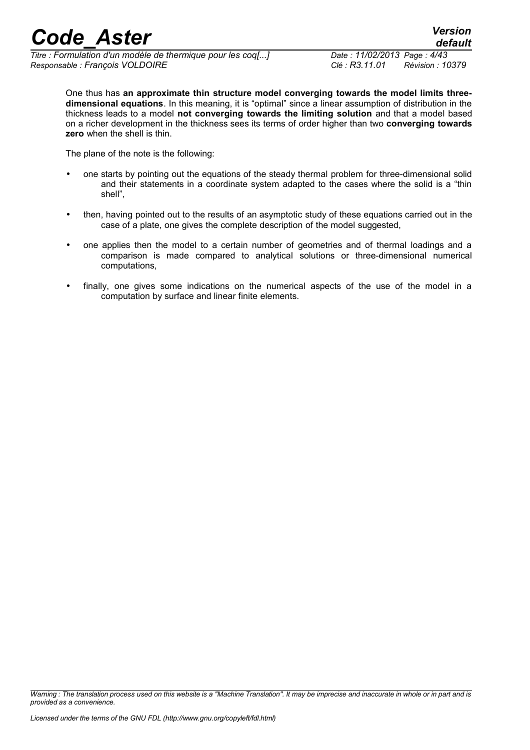*Titre : Formulation d'un modèle de thermique pour les coq[...] Date : 11/02/2013 Page : 4/43 Responsable : François VOLDOIRE Clé : R3.11.01 Révision : 10379*

One thus has **an approximate thin structure model converging towards the model limits threedimensional equations**. In this meaning, it is "optimal" since a linear assumption of distribution in the thickness leads to a model **not converging towards the limiting solution** and that a model based on a richer development in the thickness sees its terms of order higher than two **converging towards zero** when the shell is thin.

The plane of the note is the following:

- one starts by pointing out the equations of the steady thermal problem for three-dimensional solid and their statements in a coordinate system adapted to the cases where the solid is a "thin shell",
- then, having pointed out to the results of an asymptotic study of these equations carried out in the case of a plate, one gives the complete description of the model suggested,
- one applies then the model to a certain number of geometries and of thermal loadings and a comparison is made compared to analytical solutions or three-dimensional numerical computations,
- finally, one gives some indications on the numerical aspects of the use of the model in a computation by surface and linear finite elements.

*Warning : The translation process used on this website is a "Machine Translation". It may be imprecise and inaccurate in whole or in part and is provided as a convenience.*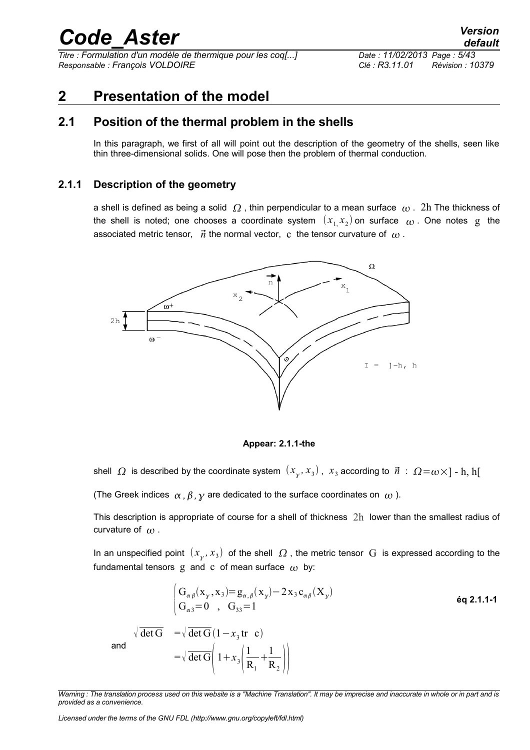*Titre : Formulation d'un modèle de thermique pour les coq[...] Date : 11/02/2013 Page : 5/43 Responsable : François VOLDOIRE Clé : R3.11.01 Révision : 10379*

### <span id="page-4-2"></span>**2 Presentation of the model**

### **2.1 Position of the thermal problem in the shells**

<span id="page-4-1"></span>In this paragraph, we first of all will point out the description of the geometry of the shells, seen like thin three-dimensional solids. One will pose then the problem of thermal conduction.

#### **2.1.1 Description of the geometry**

<span id="page-4-0"></span>a shell is defined as being a solid  $\Omega$ , thin perpendicular to a mean surface  $\omega$ . 2h The thickness of the shell is noted; one chooses a coordinate system  $(x_{1,}x_{2})$  on surface  $\omega$  . One notes g the associated metric tensor,  $\vec{n}$  the normal vector, c the tensor curvature of  $\omega$ .



**Appear: 2.1.1-the**

shell  $\,\,\Omega\,$  is described by the coordinate system  $\,\, (x_{_Y}, x_{_3})$  ,  $\,\,x_{_3}$  according to  $\,\vec n\,$  :  $\,\,\Omega\!=\!\omega\!\times\! ]$  -  ${\rm h},$   ${\rm h}[$ 

(The Greek indices  $\alpha$ ,  $\beta$ ,  $\gamma$  are dedicated to the surface coordinates on  $\omega$ ).

This description is appropriate of course for a shell of thickness 2h lower than the smallest radius of curvature of  $\omega$ .

In an unspecified point  $(x_{_\chi},x_3)$  of the shell  $\varOmega$  , the metric tensor  $\, {\rm G} \,$  is expressed according to the fundamental tensors g and c of mean surface  $\omega$  by:

$$
\begin{cases}\nG_{\alpha\beta}(x_y, x_3) = g_{\alpha,\beta}(x_y) - 2x_3 c_{\alpha\beta}(X_y) \\
G_{\alpha 3} = 0, G_{33} = 1\n\end{cases}
$$
\n6q 2.1.1-1  
\nand  
\n
$$
\sqrt{\det G} = \sqrt{\det G} (1 - x_3 \text{tr } c)
$$
\nand  
\n
$$
= \sqrt{\det G} \left(1 + x_3 \left( \frac{1}{R_1} + \frac{1}{R_2} \right) \right)
$$

*Licensed under the terms of the GNU FDL (http://www.gnu.org/copyleft/fdl.html)*

*Warning : The translation process used on this website is a "Machine Translation". It may be imprecise and inaccurate in whole or in part and is provided as a convenience.*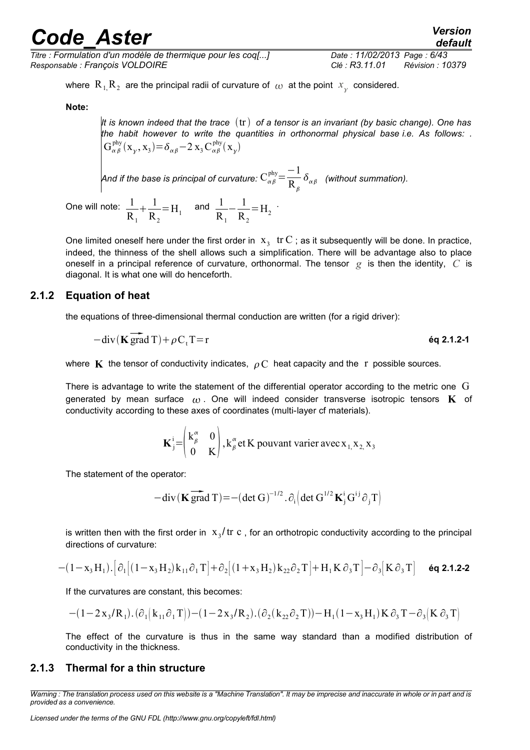*Titre : Formulation d'un modèle de thermique pour les coq[...] Date : 11/02/2013 Page : 6/43 Responsable : François VOLDOIRE Clé : R3.11.01 Révision : 10379*

*default*

where  $R_1, R_2$  are the principal radii of curvature of  $\omega$  at the point  $x_{\chi}$  considered.

**Note:**

*It is known indeed that the trace* tr *of a tensor is an invariant (by basic change). One has the habit however to write the quantities in orthonormal physical base i.e. As follows: .*  $G_{\alpha\beta}^{phy}(x_{\gamma}, x_{3}) = \delta_{\alpha\beta} - 2 x_{3} C_{\alpha\beta}^{phy}(x_{\gamma})$ 

And if the base is principal of curvature:  $\text{C}_{\alpha \beta}^{\text{phy}} \! = \! \frac{-1}{\textbf{p}}$  $R_{\beta}$  $\delta_{\alpha\beta}$  (without summation).

One will note:  $1/2$  $R_{1}$  $+\frac{1}{2}$  $R_{2}$  $=$  H<sub>1</sub> and  $\frac{1}{R}$  $R_{1}$  $-\frac{1}{R}$  $R_{2}$  $=$ H<sub>2</sub> $\cdot$ 

One limited oneself here under the first order in  $x_3$  tr C ; as it subsequently will be done. In practice, indeed, the thinness of the shell allows such a simplification. There will be advantage also to place oneself in a principal reference of curvature, orthonormal. The tensor *g* is then the identity, *C* is diagonal. It is what one will do henceforth.

#### **2.1.2 Equation of heat**

<span id="page-5-1"></span>

the equations of three-dimensional thermal conduction are written (for a rigid driver):  
\n
$$
- \text{div}(\mathbf{K} \overrightarrow{\text{grad}} T) + \rho C_t T = r
$$
\n6q 2.1.2-1

where **K** the tensor of conductivity indicates,  $\rho C$  heat capacity and the r possible sources.

There is advantage to write the statement of the differential operator according to the metric one G generated by mean surface  $\alpha$ . One will indeed consider transverse isotropic tensors **K** of conductivity according to these axes of coordinates (multi-layer cf materials).

$$
\mathbf{K}_{j}^{i} = \begin{pmatrix} k_{\beta}^{\alpha} & 0 \\ 0 & K \end{pmatrix}, k_{\beta}^{\alpha} \text{ et } K \text{ pouvant varier avec } x_{1,} x_{2,} x_{3}
$$

The statement of the operator:

-div(
$$
\mathbf{K}
$$
 grad T)=-(det G)<sup>-1/2</sup>.  $\partial_i$  (det G<sup>1/2</sup> $\mathbf{K}_j^i$ G<sup>ij</sup> $\partial_j$ T)

is written then with the first order in  $x_3/\text{tr}\ c$  , for an orthotropic conductivity according to the principal directions of curvature:

$$
-(1-x_3\,H_1).\left[\partial_1\big[(1-x_3\,H_2)\,k_{11}\,\partial_1\,T\big]+\partial_2\big[(1+x_3\,H_2)\,k_{22}\,\partial_2\,T\big]+H_1\,K\,\partial_3\,T\big]-\partial_3\big[K\,\partial_3\,T\big]\hspace{.25cm}\text{6q 2.1.2-2}
$$

If the curvatures are constant, this becomes:

$$
-(1-2\,x_{3}/R_{1}).\left(\partial_{1}\left(k_{11}\partial_{1}\,T\right)\right)-(1-2\,x_{3}/R_{2}).\left(\partial_{2}(\,k_{22}\partial_{2}\,T)\right)-H_{1}(1-x_{3}\,H_{1})\,K\,\partial_{3}\,T-\partial_{3}\big|K\,\partial_{3}\,T\big)
$$

<span id="page-5-0"></span>The effect of the curvature is thus in the same way standard than a modified distribution of conductivity in the thickness.

#### **2.1.3 Thermal for a thin structure**

*Warning : The translation process used on this website is a "Machine Translation". It may be imprecise and inaccurate in whole or in part and is provided as a convenience.*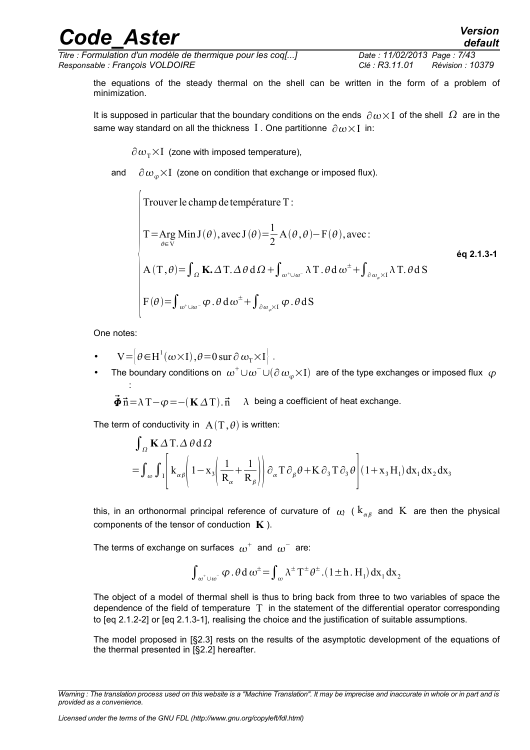*Titre : Formulation d'un modèle de thermique pour les coq[...] Date : 11/02/2013 Page : 7/43 Responsable : François VOLDOIRE Clé : R3.11.01 Révision : 10379*

the equations of the steady thermal on the shell can be written in the form of a problem of minimization.

It is supposed in particular that the boundary conditions on the ends  $\partial \omega \times I$  of the shell  $\Omega$  are in the same way standard on all the thickness I. One partitionne  $\partial \omega \times I$  in:

 $\partial \omega_{\tau} \times I$  (zone with imposed temperature),

and  $\partial \omega_{\varphi} \times I$  (zone on condition that exchange or imposed flux).

Trouver le champ de température T :  
\nT = Arg Min J(θ), avec J(θ) = 
$$
\frac{1}{2}
$$
 A(θ, θ) – F(θ), avec :  
\nA(T, θ) =  $\int_{\Omega}$  K. ΔT. Δθ dΩ +  $\int_{\omega^+\cup \omega^-}$  λT. θ d ω<sup>±</sup> +  $\int_{\partial \omega_{\varphi} \times I}$  λT. θ d S  
\nF(θ) =  $\int_{\omega^+\cup \omega^-}$  φ. θ dω<sup>±</sup> +  $\int_{\partial \omega_{\varphi} \times I}$  φ. θ dS

One notes:

:

- $V = \left[\theta \in H^1(\omega \times I), \theta = 0 \text{ sur } \partial \omega_T \times I \right].$
- The boundary conditions on  $\omega^+\cup\omega^-\cup(\partial\,\omega_\varphi\times I)$  are of the type exchanges or imposed flux  $\,\varphi$

 $\vec{\Phi} \vec{n} = \lambda T - \varphi = -(K \Delta T) \cdot \vec{n}$   $\lambda$  being a coefficient of heat exchange.

The term of conductivity in  $A(T, \theta)$  is written:

$$
\int_{\Omega} \mathbf{K} \Delta \mathbf{T} \cdot \Delta \theta \, d\Omega
$$
\n
$$
= \int_{\omega} \int_{I} \left[ k_{\alpha\beta} \left( 1 - x_{3} \left( \frac{1}{R_{\alpha}} + \frac{1}{R_{\beta}} \right) \right) \partial_{\alpha} \mathbf{T} \partial_{\beta} \theta + \mathbf{K} \partial_{3} \mathbf{T} \partial_{3} \theta \right] (1 + x_{3} H_{1}) \, dx_{1} \, dx_{2} \, dx_{3}
$$

this, in an orthonormal principal reference of curvature of  $\,\omega\,$  (  $\rm k_{\alpha\beta}$  and  $\,\rm K\,$  are then the physical components of the tensor of conduction **K** ).

The terms of exchange on surfaces  $\,{{\omega}}^+ \,$  and  $\,{{\omega}}^- \,$  are:

$$
\int_{\,\omega^+\cup\,\omega^-}\phi\,.\,\theta\,d\,\omega^\pm\!=\!\int_{\,\omega}\lambda^\pm\,T^\pm\theta^\pm.\big(1\!\pm\! h\,.\,H_{_1}\big)\,dx_{_1}\,dx_{_2}
$$

The object of a model of thermal shell is thus to bring back from three to two variables of space the dependence of the field of temperature  $T$  in the statement of the differential operator corresponding to [eq 2.1.2-2] or [eq 2.1.3-1], realising the choice and the justification of suitable assumptions.

The model proposed in [§2.3] rests on the results of the asymptotic development of the equations of the thermal presented in [§2.2] hereafter.

*Licensed under the terms of the GNU FDL (http://www.gnu.org/copyleft/fdl.html)*

*Warning : The translation process used on this website is a "Machine Translation". It may be imprecise and inaccurate in whole or in part and is provided as a convenience.*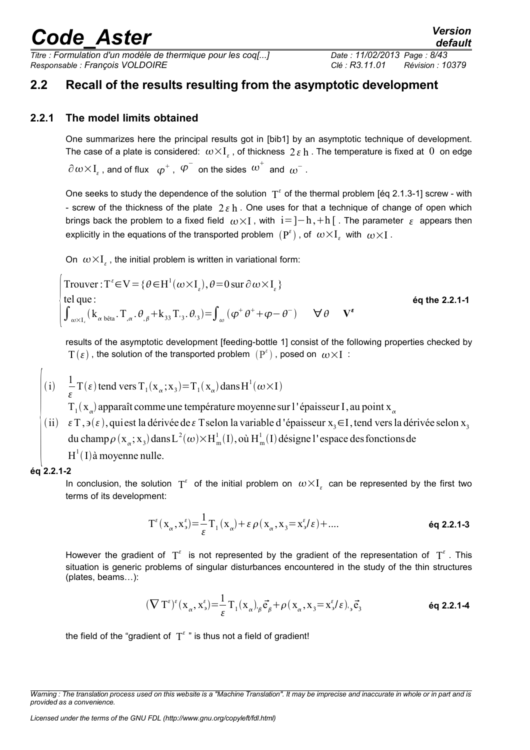*Titre : Formulation d'un modèle de thermique pour les coq[...] Date : 11/02/2013 Page : 8/43 Responsable : François VOLDOIRE Clé : R3.11.01 Révision : 10379*

### <span id="page-7-1"></span>**2.2 Recall of the results resulting from the asymptotic development**

### **2.2.1 The model limits obtained**

<span id="page-7-0"></span>One summarizes here the principal results got in [bib1] by an asymptotic technique of development. The case of a plate is considered:  $\omega\!\times\!\text{I}_{\varepsilon}$  , of thickness  $\,2\,\varepsilon\,{\rm h}$  . The temperature is fixed at  $\,0\,$  on edge

 $\partial\hspace{0.05cm}\omega\hspace{0.05cm}{\times}\hspace{0.05cm} I_{\varepsilon}$  , and of flux  $\hspace{0.1cm} \varphi^+$  ,  $\hspace{0.1cm} \varphi^-$  on the sides  $\hspace{0.1cm} \omega^+$  and  $\hspace{0.1cm} \omega^-$  .

One seeks to study the dependence of the solution  $T^{\epsilon}$  of the thermal problem [éq 2.1.3-1] screw - with - screw of the thickness of the plate  $2 \varepsilon$  h. One uses for that a technique of change of open which brings back the problem to a fixed field  $\omega \times I$ , with  $i=]-h,+h[$ . The parameter  $\varepsilon$  appears then explicitly in the equations of the transported problem  $\,({\rm P}^\varepsilon)$  , of  $\,\omega{\times}{\rm I}_\varepsilon\,$  with  $\,\omega{\times}{\rm I}$  .

On  $\omega \times I_{\varepsilon}$ , the initial problem is written in variational form:

\n
$$
\text{Trouver}: \mathbf{T}^{\epsilon} \in \mathbf{V} = \{ \theta \in \mathbf{H}^1(\omega \times \mathbf{I}_{\epsilon}), \theta = 0 \text{ sur } \partial \omega \times \mathbf{I}_{\epsilon} \}
$$
\n

\n\n $\text{tel que:}$ \n

\n\n $\int_{\omega \times \mathbf{I}_{\epsilon}} (\mathbf{k}_{\alpha \text{ bêta}} \cdot \mathbf{T}_{,\alpha} \cdot \theta_{,\beta} + \mathbf{k}_{33} \cdot \mathbf{T}_{3} \cdot \theta_{3}) = \int_{\omega} (\varphi^{\dagger} \theta^{\dagger} + \varphi - \theta^{\dagger}) \quad \forall \theta \quad \mathbf{V}^{\epsilon}$ \n

\n\n $\text{éq the 2.2.1-1}$ \n

results of the asymptotic development [feeding-bottle 1] consist of the following properties checked by  $\mathrm{T}(\varepsilon)$  , the solution of the transported problem  $\,(\mathrm{P}^\varepsilon)\,$  , posed on  $\,\omega\!\times\! \mathrm{I}\,$  :

(i) 
$$
\frac{1}{\varepsilon} \mathbf{T}(\varepsilon)
$$
 tend vers  $\mathbf{T}_1(\mathbf{x}_\alpha; \mathbf{x}_3) = \mathbf{T}_1(\mathbf{x}_\alpha)$  dans  $\mathbf{H}^1(\omega \times \mathbf{I})$ 

 $T_1(x_\alpha)$  apparaît comme une température moyenne sur l'épaisseur I, au point  $x_\alpha$ 

du champ  $\rho$  ( $x_{\alpha}$ ;  $x_3$ ) dans L<sup>2</sup>( $\omega$ ) $\times$ H<sup>1</sup><sub>m</sub>(I), où H<sup>1</sup><sub>m</sub>(I) désigne l'espace des fonctions de ii)  $\varepsilon$  T, ∍( $\varepsilon$ ), quiest la dérivée de  $\varepsilon$  T selon la variable d 'épaisseur x<sub>3</sub>∈I, tend vers la dérivée selon x<sub>3</sub>  $H^1(I)$ à moyenne nulle.

#### **éq 2.2.1-2**

In conclusion, the solution  $T^{\epsilon}$  of the initial problem on  $\omega \times I_{\epsilon}$  can be represented by the first two terms of its development:

$$
T^{\varepsilon}(x_{\alpha}, x_{\beta}^{\varepsilon}) = \frac{1}{\varepsilon} T_1(x_{\alpha}) + \varepsilon \rho(x_{\alpha}, x_3 = x_{\beta}^{\varepsilon}/\varepsilon) + \dots
$$

However the gradient of  $T^{\epsilon}$  is not represented by the gradient of the representation of  $T^{\epsilon}$ . This situation is generic problems of singular disturbances encountered in the study of the thin structures (plates, beams…):

$$
(\nabla \mathbf{T}^{\epsilon})^{\epsilon} (\mathbf{x}_{\alpha}, \mathbf{x}_{\alpha}^{\epsilon}) = \frac{1}{\epsilon} \mathbf{T}_{1} (\mathbf{x}_{\alpha})_{\beta} \vec{\mathbf{e}}_{\beta} + \rho (\mathbf{x}_{\alpha}, \mathbf{x}_{3} = \mathbf{x}_{\alpha}^{\epsilon} / \epsilon)_{\beta} \vec{\mathbf{e}}_{3}
$$
\n
$$
\text{6q 2.2.1-4}
$$

the field of the "gradient of  $T^{\varepsilon}$ " is thus not a field of gradient!

*Warning : The translation process used on this website is a "Machine Translation". It may be imprecise and inaccurate in whole or in part and is provided as a convenience.*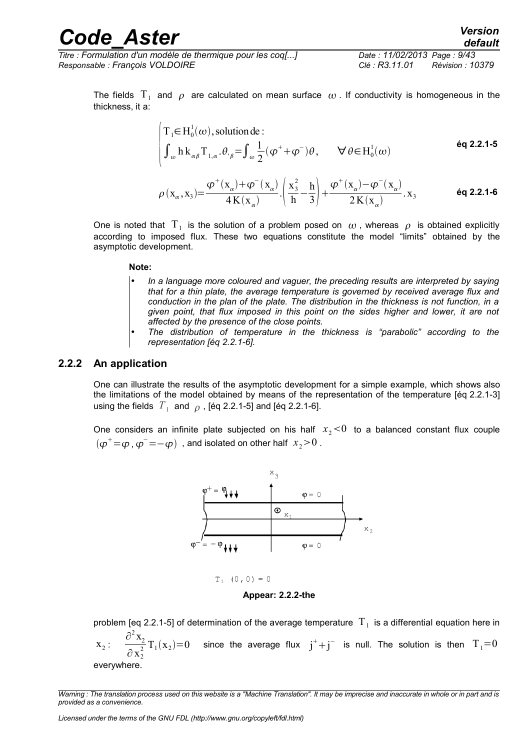*Titre : Formulation d'un modèle de thermique pour les coq[...] Date : 11/02/2013 Page : 9/43 Responsable : François VOLDOIRE Clé : R3.11.01 Révision : 10379*

The fields  $\mathrm{T}_1$  and  $\rho$  are calculated on mean surface  $\,\omega$  . If conductivity is homogeneous in the thickness, it a:

$$
\begin{cases}\nT_1 \in H_0^1(\omega), \text{ solution de :} \\
\int_{\omega} h \, k_{\alpha\beta} T_{1,\alpha} \cdot \theta_{\beta} = \int_{\omega} \frac{1}{2} (\varphi^+ + \varphi^-) \theta, \qquad \forall \theta \in H_0^1(\omega) \n\end{cases}
$$
\n
$$
\rho(x_{\alpha}, x_3) = \frac{\varphi^+(x_{\alpha}) + \varphi^-(x_{\alpha})}{4K(x_{\alpha})} \cdot \left(\frac{x_3^2}{h} - \frac{h}{3}\right) + \frac{\varphi^+(x_{\alpha}) - \varphi^-(x_{\alpha})}{2K(x_{\alpha})} \cdot x_3
$$
\n
$$
\text{6q 2.2.1-6}
$$

One is noted that  $|\Gamma_1|$  is the solution of a problem posed on  $|\omega|$ , whereas  $|\rho|$  is obtained explicitly according to imposed flux. These two equations constitute the model "limits" obtained by the asymptotic development.

#### **Note:**

- *In a language more coloured and vaguer, the preceding results are interpreted by saying that for a thin plate, the average temperature is governed by received average flux and conduction in the plan of the plate. The distribution in the thickness is not function, in a given point, that flux imposed in this point on the sides higher and lower, it are not affected by the presence of the close points.*
- *The distribution of temperature in the thickness is "parabolic" according to the representation [éq 2.2.1-6].*

#### **2.2.2 An application**

<span id="page-8-0"></span>One can illustrate the results of the asymptotic development for a simple example, which shows also the limitations of the model obtained by means of the representation of the temperature [éq 2.2.1-3] using the fields  $|T_{\overline{1}}|$  and  $|\rho|$  , [éq 2.2.1-5] and [éq 2.2.1-6].

One considers an infinite plate subjected on his half  $x_2 < 0$  to a balanced constant flux couple  $(\pmb{\varphi}^{+}\!=\!\pmb{\varphi}$  ,  $\pmb{\varphi}^{-}\!=\!-\pmb{\varphi})\,$  , and isolated on other half  $\,x_{2}\!>\!0$  .



**Appear: 2.2.2-the**

problem [eq 2.2.1-5] of determination of the average temperature  $|\mathrm{T}_1|$  is a differential equation here in  $\mathbf{x}_2$ : ∂ 2  $x_2$  $\partial$  x<sup>2</sup> 2  $T_1(x_2)=0$  since the average flux  $j^++j^-$  is null. The solution is then  $T_1=0$ everywhere.

*Warning : The translation process used on this website is a "Machine Translation". It may be imprecise and inaccurate in whole or in part and is provided as a convenience.*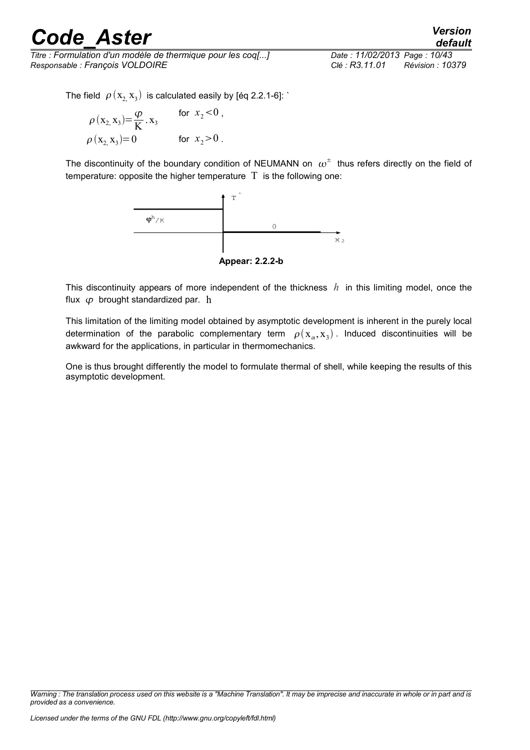*Titre : Formulation d'un modèle de thermique pour les coq[...] Date : 11/02/2013 Page : 10/43 Responsable : François VOLDOIRE Clé : R3.11.01 Révision : 10379*

*default*

The field  $\,\,\rho\left(x_{2,}\,x_{3}\right)\,$  is calculated easily by [éq 2.2.1-6]: `

$$
\rho(x_2, x_3) = \frac{\varphi}{K} \cdot x_3 \quad \text{for } x_2 < 0, \\
\rho(x_2, x_3) = 0 \quad \text{for } x_2 > 0.
$$

The discontinuity of the boundary condition of NEUMANN on  $\,\omega^\pm\,$  thus refers directly on the field of temperature: opposite the higher temperature  $T$  is the following one:





This discontinuity appears of more independent of the thickness *h* in this limiting model, once the flux  $\omega$  brought standardized par. h

This limitation of the limiting model obtained by asymptotic development is inherent in the purely local determination of the parabolic complementary term  $\rho(\mathrm{x}_{\alpha},\mathrm{x}_{3})$  . Induced discontinuities will be awkward for the applications, in particular in thermomechanics.

One is thus brought differently the model to formulate thermal of shell, while keeping the results of this asymptotic development.

*Warning : The translation process used on this website is a "Machine Translation". It may be imprecise and inaccurate in whole or in part and is provided as a convenience.*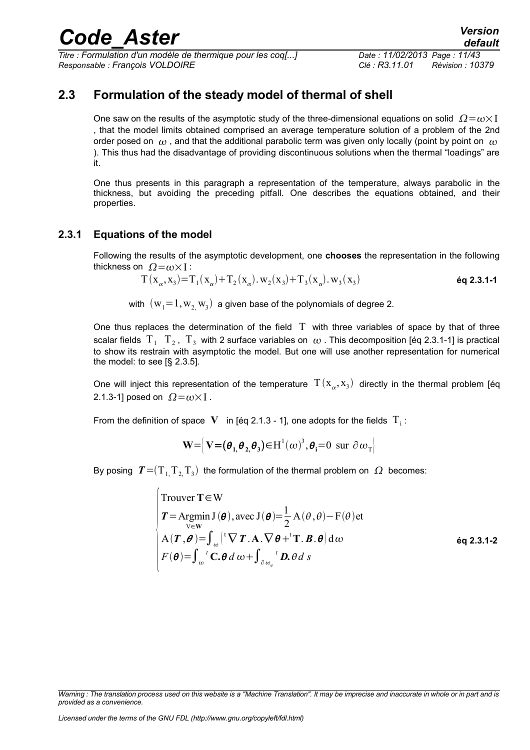*Titre : Formulation d'un modèle de thermique pour les coq[...] Date : 11/02/2013 Page : 11/43 Responsable : François VOLDOIRE Clé : R3.11.01 Révision : 10379*

### **2.3 Formulation of the steady model of thermal of shell**

<span id="page-10-1"></span>One saw on the results of the asymptotic study of the three-dimensional equations on solid  $\Omega = \omega \times I$ , that the model limits obtained comprised an average temperature solution of a problem of the 2nd order posed on  $\omega$ , and that the additional parabolic term was given only locally (point by point on  $\omega$ ). This thus had the disadvantage of providing discontinuous solutions when the thermal "loadings" are it.

One thus presents in this paragraph a representation of the temperature, always parabolic in the thickness, but avoiding the preceding pitfall. One describes the equations obtained, and their properties.

### **2.3.1 Equations of the model**

<span id="page-10-0"></span>Following the results of the asymptotic development, one **chooses** the representation in the following thickness on  $\Omega = \omega \times I$ :

$$
T(x_{\alpha}, x_3) = T_1(x_{\alpha}) + T_2(x_{\alpha}). w_2(x_3) + T_3(x_{\alpha}). w_3(x_3)
$$
\n
$$
\text{\'eq 2.3.1-1}
$$

with  $\,({\rm w}_{\rm 1}{=}\,1,{\rm w}_{\rm 2}, {\rm w}_{\rm 3})\,$  a given base of the polynomials of degree 2.

One thus replaces the determination of the field  $\Gamma$  with three variables of space by that of three scalar fields  $\rm\,T_{1}$   $\rm\,T_{2}$  ,  $\rm\,T_{3}$  with 2 surface variables on  $\,\omega$  . This decomposition [éq 2.3.1-1] is practical to show its restrain with asymptotic the model. But one will use another representation for numerical the model: to see [§ 2.3.5].

One will inject this representation of the temperature  $\int T(x_{\alpha},x_3)$  directly in the thermal problem [éq 2.1.3-1] posed on  $\Omega = \omega \times I$ .

From the definition of space  $|\mathbf{V}|$  in [éq 2.1.3 - 1], one adopts for the fields  $|\mathrm{T}_\text{i}|$ :

$$
\mathbf{W} = \left[ \mathbf{V} = (\boldsymbol{\theta}_1, \boldsymbol{\theta}_2, \boldsymbol{\theta}_3) \in \mathbf{H}^1(\boldsymbol{\omega})^3, \boldsymbol{\theta}_i = 0 \text{ sur } \partial \boldsymbol{\omega}_T \right]
$$

By posing  $\; \bm{T} \!=\! (\bm{\mathrm{T}}_{1\!} \bm{\mathrm{T}}_{2\!} \bm{\mathrm{T}}_{3})\;$  the formulation of the thermal problem on  $\; \bm{\Omega}\;$  becomes:

Trouver T ∈ W  
\n
$$
T = \underset{v \in W}{Argmin J(\theta), avec J(\theta) = \frac{1}{2} A(\theta, \theta) - F(\theta) et}
$$
\n
$$
A(T, \theta) = \int_{\omega} [{}^{t} \nabla T \cdot A \cdot \nabla \theta + {}^{t} T \cdot B \cdot \theta] d\omega
$$
\n
$$
F(\theta) = \int_{\omega} {}^{t} C \cdot \theta d\omega + \int_{\partial \omega_{\varphi}} {}^{t} D \cdot \theta ds
$$
\n
$$
= \int_{\omega} {}^{t} F(\theta) d\theta
$$
\n
$$
= \int_{\omega} {}^{t} F(\theta) d\theta
$$
\n
$$
= \int_{\omega} {}^{t} F(\theta) d\theta
$$
\n
$$
= \int_{\omega} {}^{t} F(\theta) d\theta
$$
\n
$$
= \int_{\omega} {}^{t} F(\theta) d\theta
$$
\n
$$
= \int_{\omega} {}^{t} F(\theta) d\theta
$$
\n
$$
= \int_{\omega} {}^{t} F(\theta) d\theta
$$
\n
$$
= \int_{\omega} {}^{t} F(\theta) d\theta
$$
\n
$$
= \int_{\omega} {}^{t} F(\theta) d\theta
$$
\n
$$
= \int_{\omega} {}^{t} F(\theta) d\theta
$$
\n
$$
= \int_{\omega} {}^{t} F(\theta) d\theta
$$
\n
$$
= \int_{\omega} {}^{t} F(\theta) d\theta
$$
\n
$$
= \int_{\omega} {}^{t} F(\theta) d\theta
$$
\n
$$
= \int_{\omega} {}^{t} F(\theta) d\theta
$$
\n
$$
= \int_{\omega} {}^{t} F(\theta) d\theta
$$
\n
$$
= \int_{\omega} {}^{t} F(\theta) d\theta
$$
\n
$$
= \int_{\omega} {}^{t} F(\theta) d\theta
$$
\n
$$
= \int_{\omega} {}^{t} F(\theta) d\theta
$$
\n
$$
= \int_{\omega} {}^{t} F(\theta) d\theta
$$
\n
$$
= \int_{\omega} {}^{t} F(\theta) d\theta
$$
\n
$$
= \int_{\omega} {}^{t} F(\theta) d\theta
$$

*Warning : The translation process used on this website is a "Machine Translation". It may be imprecise and inaccurate in whole or in part and is provided as a convenience.*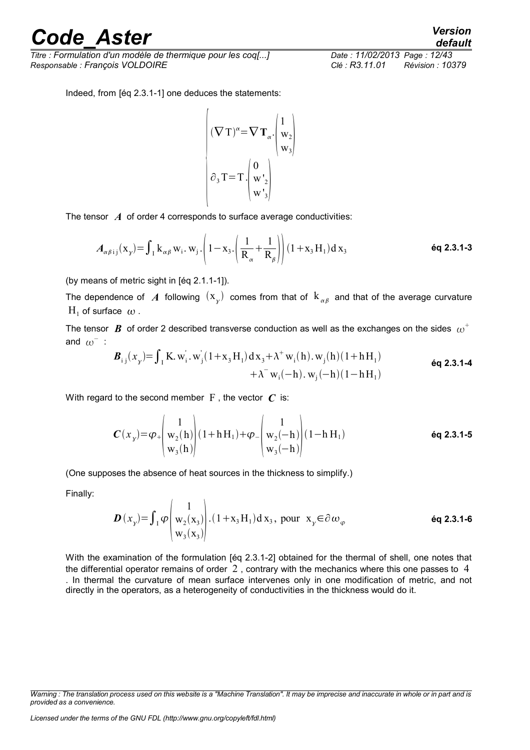*Titre : Formulation d'un modèle de thermique pour les coq[...] Date : 11/02/2013 Page : 12/43 Responsable : François VOLDOIRE Clé : R3.11.01 Révision : 10379*

*default*

Indeed, from [éq 2.3.1-1] one deduces the statements:

$$
\begin{pmatrix}\n(\nabla \mathbf{T})^{\alpha} = \nabla \mathbf{T}_{\alpha} \cdot \begin{pmatrix} 1 \\ w_2 \\ w_3 \end{pmatrix} \\
\partial_3 \mathbf{T} = \mathbf{T} \cdot \begin{pmatrix} 0 \\ w_2 \\ w_3 \end{pmatrix}\n\end{pmatrix}
$$

The tensor *A* of order 4 corresponds to surface average conductivities:

$$
A_{\alpha\beta ij}(\mathbf{x}_{\gamma}) = \int_{I} \mathbf{k}_{\alpha\beta} \mathbf{w}_{i} \cdot \mathbf{w}_{j} \cdot \left(1 - \mathbf{x}_{3} \cdot \left(\frac{1}{R_{\alpha}} + \frac{1}{R_{\beta}}\right)\right) (1 + \mathbf{x}_{3} \mathbf{H}_{1}) d \mathbf{x}_{3} \tag{6q 2.3.1-3}
$$

(by means of metric sight in [éq 2.1.1-1]).

The dependence of  $|A|$  following  $(x_{\overline{\chi}})$  comes from that of  $|{\rm k}|_{\alpha\beta}$  and that of the average curvature  $H_1$  of surface  $\omega$ .

The tensor  $\, {\bm B} \,$  of order 2 described transverse conduction as well as the exchanges on the sides  $\, \omega^+ \,$ and  $\omega^-$  :

$$
\mathbf{B}_{i j}(x_{y}) = \int_{I} \mathbf{K}_{i} w_{i}^{'} \cdot w_{j}^{'}(1 + x_{3} H_{1}) dx_{3} + \lambda^{+} w_{i}(h) \cdot w_{j}(h)(1 + h H_{1}) + \lambda^{-} w_{i}(-h) \cdot w_{j}(-h)(1 - h H_{1})
$$
\n
$$
\mathbf{6q 2.3.1-4}
$$

With regard to the second member  $F$ , the vector  $C$  is:

$$
\boldsymbol{C}(x_{y}) = \varphi_{+} \begin{pmatrix} 1 \\ w_{2}(h) \\ w_{3}(h) \end{pmatrix} (1 + h H_{1}) + \varphi_{-} \begin{pmatrix} 1 \\ w_{2}(-h) \\ w_{3}(-h) \end{pmatrix} (1 - h H_{1}) \qquad \text{6q 2.3.1-5}
$$

(One supposes the absence of heat sources in the thickness to simplify.)

Finally:

$$
\boldsymbol{D}(x_{y}) = \int_{I} \varphi \begin{pmatrix} 1 \\ w_{2}(x_{3}) \\ w_{3}(x_{3}) \end{pmatrix} . (1 + x_{3}H_{1}) dx_{3}, \text{ pour } x_{y} \in \partial \omega_{\varphi} \qquad \text{éq 2.3.1-6}
$$

With the examination of the formulation [éq 2.3.1-2] obtained for the thermal of shell, one notes that the differential operator remains of order  $2$ , contrary with the mechanics where this one passes to  $4$ . In thermal the curvature of mean surface intervenes only in one modification of metric, and not directly in the operators, as a heterogeneity of conductivities in the thickness would do it.

*Warning : The translation process used on this website is a "Machine Translation". It may be imprecise and inaccurate in whole or in part and is provided as a convenience.*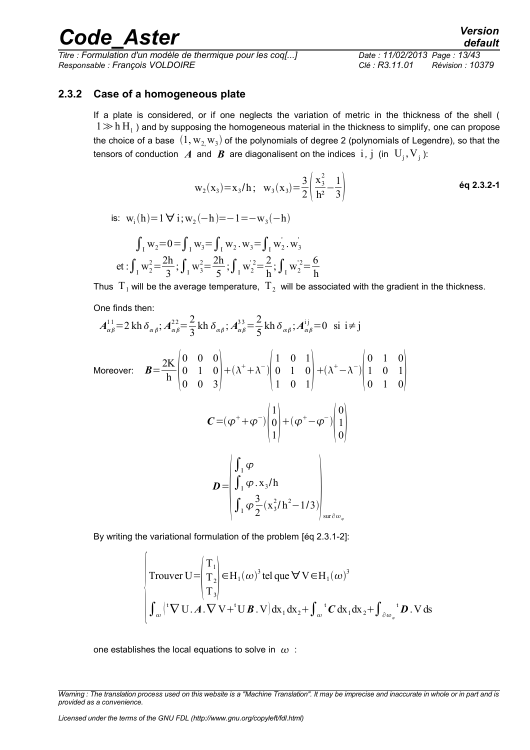*Titre : Formulation d'un modèle de thermique pour les coq[...] Date : 11/02/2013 Page : 13/43 Responsable : François VOLDOIRE Clé : R3.11.01 Révision : 10379*

#### **2.3.2 Case of a homogeneous plate**

<span id="page-12-0"></span>If a plate is considered, or if one neglects the variation of metric in the thickness of the shell (  $1 \gg h\, H_1$  ) and by supposing the homogeneous material in the thickness to simplify, one can propose the choice of a base  $\,(1,{\rm w}_{2,}{\rm w}_{3})$  of the polynomials of degree 2 (polynomials of Legendre), so that the tensors of conduction *A* and *B* are diagonalisent on the indices i *,* j (in U<sup>j</sup> ,V<sup>j</sup> ):

$$
w_2(x_3)=x_3/h
$$
;  $w_3(x_3)=\frac{3}{2}\left(\frac{x_3^2}{h^2}-\frac{1}{3}\right)$  **6q 2.3.2-1**

is: 
$$
w_i(h)=1 \forall i; w_2(-h)=-1=-w_3(-h)
$$
  
\n
$$
\int_1 w_2=0=\int_1 w_3=\int_1 w_2 \cdot w_3=\int_1 w_2 \cdot w_3
$$
\net:  $\int_1 w_2^2=\frac{2h}{3}; \int_1 w_3^2=\frac{2h}{5}; \int_1 w_2^2=\frac{2}{h}; \int_1 w_2^2=\frac{6}{h}$ 

Thus  $\rm\,T_{1}$  will be the average temperature,  $\rm\,T_{2}$  will be associated with the gradient in the thickness.

h

One finds then:

$$
A_{\alpha\beta}^{11} = 2 \operatorname{kh} \delta_{\alpha\beta}; A_{\alpha\beta}^{22} = \frac{2}{3} \operatorname{kh} \delta_{\alpha\beta}; A_{\alpha\beta}^{33} = \frac{2}{5} \operatorname{kh} \delta_{\alpha\beta}; A_{\alpha\beta}^{ij} = 0 \text{ si } i \neq j
$$

 $\mathbb{R}^2$ 

Moreover: 
$$
\mathbf{B} = \frac{2K}{h} \begin{pmatrix} 0 & 0 & 0 \\ 0 & 1 & 0 \\ 0 & 0 & 3 \end{pmatrix} + (\lambda^+ + \lambda^-) \begin{pmatrix} 1 & 0 & 1 \\ 0 & 1 & 0 \\ 1 & 0 & 1 \end{pmatrix} + (\lambda^+ - \lambda^-) \begin{pmatrix} 0 & 1 & 0 \\ 1 & 0 & 1 \\ 0 & 1 & 0 \end{pmatrix}
$$

$$
\mathbf{C} = (\varphi^+ + \varphi^-) \begin{pmatrix} 1 \\ 0 \\ 1 \end{pmatrix} + (\varphi^+ - \varphi^-) \begin{pmatrix} 0 \\ 1 \\ 0 \end{pmatrix}
$$

$$
\mathbf{D} = \begin{pmatrix} \int_{I} \varphi \\ \int_{I} \varphi \cdot x_3/h \\ \int_{I} \varphi \frac{3}{2} (x_3^2/h^2 - 1/3) \end{pmatrix}_{\text{sur}\partial \omega_{\varphi}}
$$

By writing the variational formulation of the problem [éq 2.3.1-2]:

$$
\begin{cases}\n\text{Trouver U} = \begin{pmatrix} T_1 \\ T_2 \\ T_3 \end{pmatrix} \in H_1(\omega)^3 \text{ tel que } \forall V \in H_1(\omega)^3 \\
\int_{\omega} {\left( ^\text{t} \nabla \mathbf{U} \cdot \mathbf{A} . \nabla V + ^\text{t} \mathbf{U} \mathbf{B} . \mathbf{V} \right)} d\mathbf{x}_1 d\mathbf{x}_2 + \int_{\omega} {^{\text{t}}} \mathbf{C} d\mathbf{x}_1 d\mathbf{x}_2 + \int_{\partial \omega_{\varphi}} {^{\text{t}}} \mathbf{D} . \mathbf{V} d\mathbf{s}\n\end{cases}
$$

one establishes the local equations to solve in  $\omega$ :

*Licensed under the terms of the GNU FDL (http://www.gnu.org/copyleft/fdl.html)*

 $\overline{1}$ 

*Warning : The translation process used on this website is a "Machine Translation". It may be imprecise and inaccurate in whole or in part and is provided as a convenience.*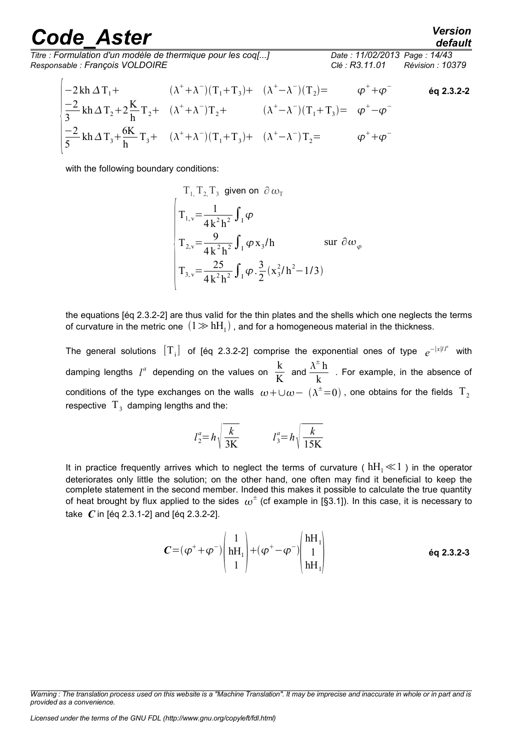3

5

*default*

*Titre : Formulation d'un modèle de thermique pour les coq[...] Date : 11/02/2013 Page : 14/43 Responsable : François VOLDOIRE Clé : R3.11.01 Révision : 10379*

$$
\begin{array}{llll}\n-2\,\text{kh}\,\Delta\,T_{1}+ & (\lambda^{+}+\lambda^{-})(T_{1}+T_{3})+ & (\lambda^{+}-\lambda^{-})(T_{2})= & \varphi^{+}+\varphi^{-} & \text{6q 2.3.2-2}\\
\frac{-2}{3}\,\text{kh}\,\Delta\,T_{2}+2\frac{\text{K}}{\text{h}}\,T_{2}+ & (\lambda^{+}+\lambda^{-})T_{2}+ & (\lambda^{+}-\lambda^{-})(T_{1}+T_{3})= & \varphi^{+}-\varphi^{-} \\
\frac{-2}{5}\,\text{kh}\,\Delta\,T_{3}+\frac{6\text{K}}{\text{h}}\,T_{3}+ & (\lambda^{+}+\lambda^{-})(T_{1}+T_{3})+ & (\lambda^{+}-\lambda^{-})\,T_{2}=\ & \varphi^{+}+\varphi^{-}\n\end{array}
$$

with the following boundary conditions:

$$
T_{1,} T_{2,} T_{3} \text{ given on } \partial \omega_{T}
$$
\n
$$
\begin{cases}\nT_{1,v} = \frac{1}{4k^{2}h^{2}} \int_{1}^{\infty} \varphi \\
T_{2,v} = \frac{9}{4k^{2}h^{2}} \int_{1}^{\infty} \varphi x_{3}/h \text{ } & \text{sur } \partial \omega_{\varphi} \\
T_{3,v} = \frac{25}{4k^{2}h^{2}} \int_{1}^{\infty} \varphi \cdot \frac{3}{2} (x_{3}^{2}/h^{2} - 1/3)\n\end{cases}
$$

the equations [éq 2.3.2-2] are thus valid for the thin plates and the shells which one neglects the terms of curvature in the metric one  $\ (1\!\gg\! h\rm H_1)$  , and for a homogeneous material in the thickness.

The general solutions  $[T_i]$  of [éq 2.3.2-2] comprise the exponential ones of type  $e^{-|x|/l^a}$  with damping lengths  $l^a$  depending on the values on  $\frac{\text{k}}{V}$ K and  $\frac{\lambda^{\pm} h}{\lambda}$  $\frac{1}{k}$  . For example, in the absence of conditions of the type exchanges on the walls  $\omega+\cup\omega-\ (\lambda^\pm=0)$  , one obtains for the fields  $\rm\,T_{2}$ respective  $T_3$  damping lengths and the:

$$
l_2^a = h \sqrt{\frac{k}{3K}} \qquad l_3^a = h \sqrt{\frac{k}{15K}}
$$

It in practice frequently arrives which to neglect the terms of curvature ( $hH_1 \ll 1$ ) in the operator deteriorates only little the solution; on the other hand, one often may find it beneficial to keep the complete statement in the second member. Indeed this makes it possible to calculate the true quantity of heat brought by flux applied to the sides  $\,\omega^\pm$  (cf example in [§3.1]). In this case, it is necessary to take *C* in [éq 2.3.1-2] and [éq 2.3.2-2].

$$
C = (\varphi^+ + \varphi^-) \begin{pmatrix} 1 \\ hH_1 \\ 1 \end{pmatrix} + (\varphi^+ - \varphi^-) \begin{pmatrix} hH_1 \\ 1 \\ hH_1 \end{pmatrix}
$$
 6q 2.3.2-3

*Warning : The translation process used on this website is a "Machine Translation". It may be imprecise and inaccurate in whole or in part and is provided as a convenience.*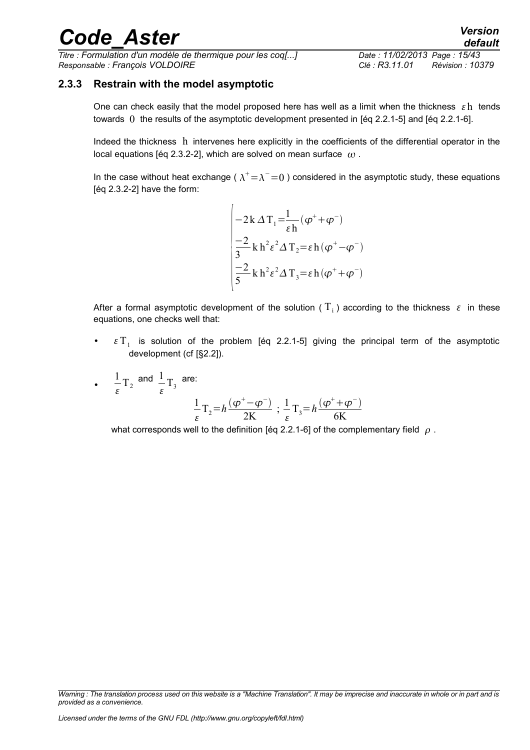*Titre : Formulation d'un modèle de thermique pour les coq[...] Date : 11/02/2013 Page : 15/43 Responsable : François VOLDOIRE Clé : R3.11.01 Révision : 10379*

#### **2.3.3 Restrain with the model asymptotic**

<span id="page-14-0"></span>One can check easily that the model proposed here has well as a limit when the thickness  $\epsilon$  h tends towards 0 the results of the asymptotic development presented in [éq 2.2.1-5] and [éq 2.2.1-6].

Indeed the thickness h intervenes here explicitly in the coefficients of the differential operator in the local equations [éq 2.3.2-2], which are solved on mean surface  $\omega$ .

In the case without heat exchange (  $\lambda^+ \!\!=\!\lambda^-\!\!=\!0$  ) considered in the asymptotic study, these equations [éq 2.3.2-2] have the form:

$$
\begin{cases}\n-2k\,\Delta\,T_1 = \frac{1}{\varepsilon h}(\varphi^+ + \varphi^-) \\
\frac{-2}{3}k\,h^2\varepsilon^2\Delta\,T_2 = \varepsilon h(\varphi^+ - \varphi^-) \\
\frac{-2}{5}k\,h^2\varepsilon^2\Delta\,T_3 = \varepsilon h(\varphi^+ + \varphi^-)\n\end{cases}
$$

After a formal asymptotic development of the solution (  $\overline{\mathrm{T}_\mathrm{i}}$  ) according to the thickness  $|\varepsilon|$  in these equations, one checks well that:

- $\epsilon T_1$  is solution of the problem [éq 2.2.1-5] giving the principal term of the asymptotic development (cf [§2.2]).
- 1  $\frac{1}{\varepsilon}$  T<sub>2</sub> and  $\frac{1}{\varepsilon}$  $\frac{1}{\varepsilon}T_3$  are:

$$
\frac{1}{\varepsilon}T_2 = h\frac{(\varphi^+ - \varphi^-)}{2K} \; ; \; \frac{1}{\varepsilon}T_3 = h\frac{(\varphi^+ + \varphi^-)}{6K}
$$

what corresponds well to the definition [éq 2.2.1-6] of the complementary field  $\rho$ .

*Warning : The translation process used on this website is a "Machine Translation". It may be imprecise and inaccurate in whole or in part and is provided as a convenience.*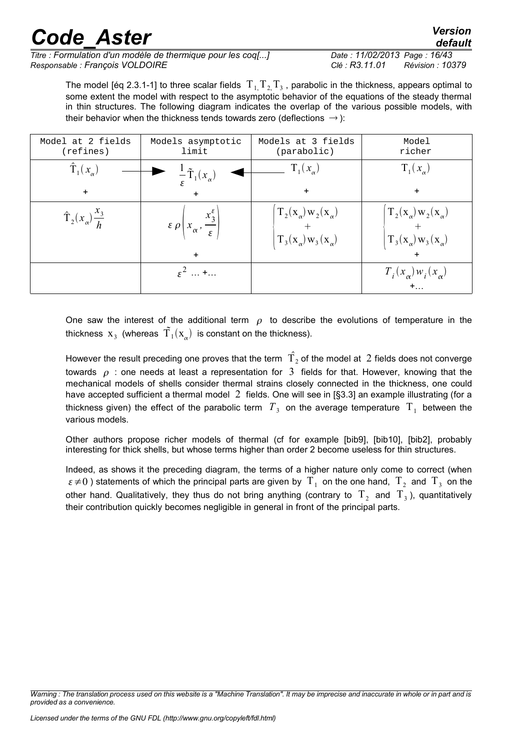*Titre : Formulation d'un modèle de thermique pour les coq[...] Date : 11/02/2013 Page : 16/43 Responsable : François VOLDOIRE Clé : R3.11.01 Révision : 10379*

The model [éq 2.3.1-1] to three scalar fields  $\rm\,T_{1,}T_{2,}T_{3}$  , parabolic in the thickness, appears optimal to some extent the model with respect to the asymptotic behavior of the equations of the steady thermal in thin structures. The following diagram indicates the overlap of the various possible models, with their behavior when the thickness tends towards zero (deflections  $\rightarrow$  ):

| Model at 2 fields<br>(refines)     | Models asymptotic<br>limit                                                      | Models at 3 fields<br>(parabolic)                                                            | Model<br>richer                                                                              |
|------------------------------------|---------------------------------------------------------------------------------|----------------------------------------------------------------------------------------------|----------------------------------------------------------------------------------------------|
| $\hat{\mathrm{T}}_1(x_{\alpha})$   | $\frac{1}{\epsilon}\tilde{T}_1(x_\alpha)$                                       | $T_1(x_\alpha)$                                                                              | $T_1(x_\alpha)$                                                                              |
| $\ddot{}$                          | $\ddot{}$                                                                       | $+$                                                                                          | $\ddot{}$                                                                                    |
| $\hat{T}_2(x_\alpha)\frac{x_3}{h}$ | $\epsilon \rho \left(x_{\alpha}, \frac{x_{3}^{\epsilon}}{\epsilon}\right)$<br>+ | $T_2(\mathbf{x}_{\alpha})\mathbf{w}_2(\mathbf{x}_{\alpha})$<br>$T_3(x_\alpha) w_3(x_\alpha)$ | $T_2(x_\alpha) w_2(x_\alpha)$<br>$T_3(\mathbf{x}_{\alpha})\mathbf{w}_3(\mathbf{x}_{\alpha})$ |
|                                    | $\varepsilon^2$ +                                                               |                                                                                              | $T_i(x_\alpha) w_i(x_\alpha)$                                                                |

One saw the interest of the additional term  $\rho$  to describe the evolutions of temperature in the thickness  $\mathbf{x}_3$  (whereas  $\tilde{\mathbf{T}}_1(\mathbf{x}_{\alpha})$  is constant on the thickness).

However the result preceding one proves that the term  $\hat{\mathrm{T}}_{2}$  of the model at  $\,2$  fields does not converge towards  $\rho$  : one needs at least a representation for 3 fields for that. However, knowing that the mechanical models of shells consider thermal strains closely connected in the thickness, one could have accepted sufficient a thermal model 2 fields. One will see in [§3.3] an example illustrating (for a thickness given) the effect of the parabolic term  $\,T_{\,3}\,$  on the average temperature  $\,$  T<sub>1</sub> between the various models.

Other authors propose richer models of thermal (cf for example [bib9], [bib10], [bib2], probably interesting for thick shells, but whose terms higher than order 2 become useless for thin structures.

Indeed, as shows it the preceding diagram, the terms of a higher nature only come to correct (when  $\varepsilon\!\neq\!0$  ) statements of which the principal parts are given by  $\rm\,T_{1}$  on the one hand,  $\rm\,T_{2}$  and  $\rm\,T_{3}$  on the other hand. Qualitatively, they thus do not bring anything (contrary to  $\ket{\mathrm{T}_2}$  and  $\ket{\mathrm{T}_3}$ ), quantitatively their contribution quickly becomes negligible in general in front of the principal parts.

*Warning : The translation process used on this website is a "Machine Translation". It may be imprecise and inaccurate in whole or in part and is provided as a convenience.*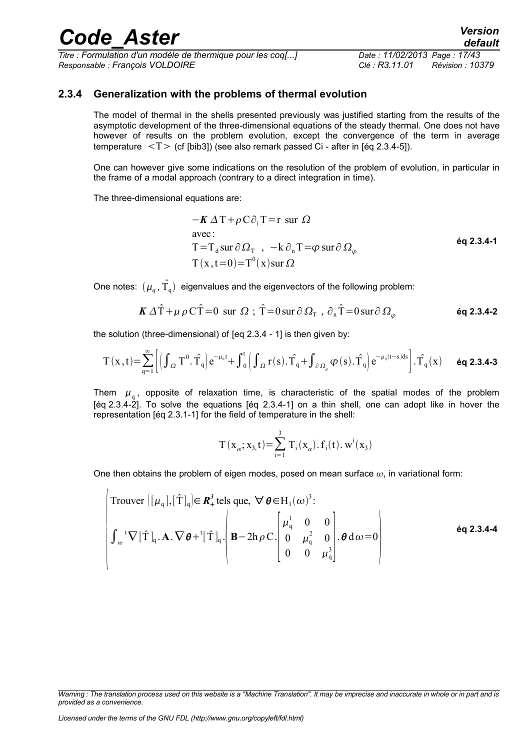*Titre : Formulation d'un modèle de thermique pour les coq[...] Date : 11/02/2013 Page : 17/43 Responsable : François VOLDOIRE Clé : R3.11.01 Révision : 10379*

#### **2.3.4 Generalization with the problems of thermal evolution**

<span id="page-16-0"></span>The model of thermal in the shells presented previously was justified starting from the results of the asymptotic development of the three-dimensional equations of the steady thermal. One does not have however of results on the problem evolution, except the convergence of the term in average temperature  $\langle T \rangle$  (cf [bib3]) (see also remark passed Ci - after in [éq 2.3.4-5]).

One can however give some indications on the resolution of the problem of evolution, in particular in the frame of a modal approach (contrary to a direct integration in time).

The three-dimensional equations are:

$$
-K \Delta T + \rho C \partial_{i} T = r \text{ sur } \Omega
$$
  
avec:  

$$
T = T_{d} \text{ sur } \partial \Omega_{T}, \quad -k \partial_{n} T = \varphi \text{ sur } \partial \Omega_{\varphi}
$$
  

$$
T(x, t=0) = T^{0}(x) \text{ sur } \Omega
$$

One notes:  $(\mu_q^{},\hat{\Upsilon_{\mathfrak{q}}})$  eigenvalues and the eigenvectors of the following problem:

$$
\boldsymbol{K} \, \Delta \hat{T} + \mu \, \rho \, C \hat{T} = 0 \, \text{ sur } \, \Omega \, ; \, \hat{T} = 0 \, \text{sur } \partial \, \Omega_{\text{T}} \, , \, \partial_{\text{n}} \hat{T} = 0 \, \text{sur } \partial \, \Omega_{\varphi} \tag{6q\ 2.3.4-2}
$$

the solution (three-dimensional) of [eq 2.3.4 - 1] is then given by:

$$
T\left(x\,,t\right)\!=\!\sum\limits_{q=1}^{\infty}\!\left[\left(\int_{\varOmega}T^{0}.\,\hat{T_{q}}\right)\!e^{-\mu_{q}t}\!+\!\int_{0}^{t}\!\left(\int_{\varOmega}r(s).\,\hat{T_{q}}\!+\!\int_{\partial\varOmega_{_{\phi}}}\!\varphi\left(s\right).\hat{T_{q}}\right)\!e^{-\mu_{q}\left(t-s\right)ds}\right].\hat{T_{q}}\left(x\right)\hspace{0.5cm}\text{\'{e}q\text{ 2.3.4-3}}
$$

Them  $\mu_{\mathfrak{q}}$ , opposite of relaxation time, is characteristic of the spatial modes of the problem [éq 2.3.4-2]. To solve the equations [éq 2.3.4-1] on a thin shell, one can adopt like in hover the representation [éq 2.3.1-1] for the field of temperature in the shell:

$$
T(x_{\alpha}; x_{3,}t) = \sum_{i=1}^{3} T_{i}(x_{\alpha}), f_{i}(t), w^{i}(x_{3})
$$

One then obtains the problem of eigen modes, posed on mean surface  $\omega$ , in variational form:

$$
\begin{cases}\n\text{Trouver } \left( [\mu_q], [\hat{T}]_q \right) \in \mathbb{R}_+^3 \text{ tells que, } \forall \theta \in H_1(\omega)^3: \\
\int_{\omega}^{\tau} \nabla [\hat{T}]_q \cdot \mathbf{A} . \nabla \theta + \left[ \hat{T} \right]_q \cdot \left( \mathbf{B} - 2h \rho C \cdot \begin{bmatrix} \mu_q^1 & 0 & 0 \\ 0 & \mu_q^2 & 0 \\ 0 & 0 & \mu_q^3 \end{bmatrix} \cdot \theta \, d\omega = 0 \right)\n\end{cases} \n\text{Eq 2.3.4-4} \n\end{cases}
$$

*Warning : The translation process used on this website is a "Machine Translation". It may be imprecise and inaccurate in whole or in part and is provided as a convenience.*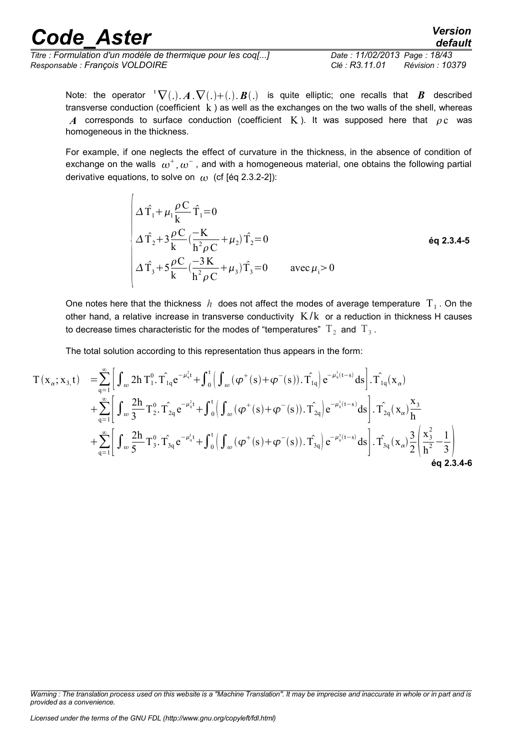*Titre : Formulation d'un modèle de thermique pour les coq[...] Date : 11/02/2013 Page : 18/43 Responsable : François VOLDOIRE Clé : R3.11.01 Révision : 10379*

*default*

Note: the operator  ${}^t\nabla(.)$ .  $A \cdot \nabla(.) + (.)$ .  $B(.)$  is quite elliptic; one recalls that *B* described transverse conduction (coefficient  $k$ ) as well as the exchanges on the two walls of the shell, whereas A corresponds to surface conduction (coefficient K). It was supposed here that  $\rho c$  was homogeneous in the thickness.

For example, if one neglects the effect of curvature in the thickness, in the absence of condition of exchange on the walls  $\,\omega^+$ ,  $\omega^-$  , and with a homogeneous material, one obtains the following partial derivative equations, to solve on  $\omega$  (cf [éq 2.3.2-2]):

$$
\begin{cases}\n\Delta \hat{T}_1 + \mu_1 \frac{\rho C}{k} \hat{T}_1 = 0 \\
\Delta \hat{T}_2 + 3 \frac{\rho C}{k} \left( \frac{-K}{h^2 \rho C} + \mu_2 \right) \hat{T}_2 = 0 \\
\Delta \hat{T}_3 + 5 \frac{\rho C}{k} \left( \frac{-3K}{h^2 \rho C} + \mu_3 \right) \hat{T}_3 = 0 \qquad \text{avec } \mu_i > 0\n\end{cases}
$$
 6q 2.3.4-5

One notes here that the thickness  $|h\>$  does not affect the modes of average temperature  $\|T\|_1$ . On the other hand, a relative increase in transverse conductivity  $K/k$  or a reduction in thickness H causes to decrease times characteristic for the modes of "temperatures"  $\mathrm{T}_2^+$  and  $\mathrm{T}_3^+$ .

The total solution according to this representation thus appears in the form:

$$
T(x_{\alpha}; x_{3,}t) = \sum_{q=1}^{\infty} \Biggl[ \int_{\omega} 2h T_{1}^{0} \cdot T_{1q} e^{-\mu_{q}^{2}t} + \int_{0}^{t} \Biggl( \int_{\omega} (\varphi^{+}(s) + \varphi^{-}(s)). \hat{T}_{1q} \Biggr) e^{-\mu_{q}^{1}(t-s)} ds \Biggr] \cdot \hat{T}_{1q}(x_{\alpha}) + \sum_{q=1}^{\infty} \Biggl[ \int_{\omega} \frac{2h}{3} T_{2}^{0} \cdot T_{2q}^{0} e^{-\mu_{q}^{2}t} + \int_{0}^{t} \Biggl( \int_{\omega} (\varphi^{+}(s) + \varphi^{-}(s)). \hat{T}_{2q} \Biggr) e^{-\mu_{q}^{1}(t-s)} ds \Biggr] \cdot \hat{T}_{2q}(x_{\alpha}) \frac{x_{3}}{h} + \sum_{q=1}^{\infty} \Biggl[ \int_{\omega} \frac{2h}{5} T_{3}^{0} \cdot \hat{T}_{3q}^{0} e^{-\mu_{q}^{3}t} + \int_{0}^{t} \Biggl( \int_{\omega} (\varphi^{+}(s) + \varphi^{-}(s)). \hat{T}_{3q} \Biggr) e^{-\mu_{q}^{3}(t-s)} ds \Biggr] \cdot \hat{T}_{3q}(x_{\alpha}) \frac{3}{2} \Biggl( \frac{x_{3}^{2}}{h^{2}} - \frac{1}{3} \Biggr) 6q 2.3.4-6
$$

*Warning : The translation process used on this website is a "Machine Translation". It may be imprecise and inaccurate in whole or in part and is provided as a convenience.*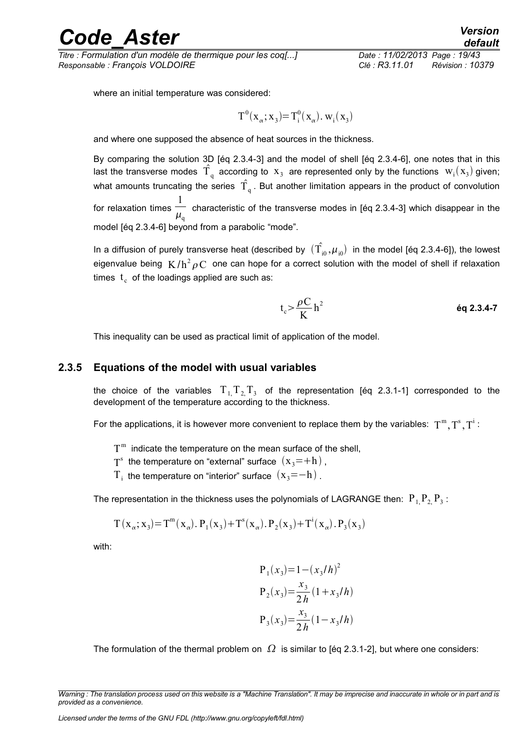*Titre : Formulation d'un modèle de thermique pour les coq[...] Date : 11/02/2013 Page : 19/43 Responsable : François VOLDOIRE Clé : R3.11.01 Révision : 10379*

where an initial temperature was considered:

$$
T^0(\mathbf{x}_{\alpha}; \mathbf{x}_3) = T_i^0(\mathbf{x}_{\alpha}). \mathbf{w}_i(\mathbf{x}_3)
$$

and where one supposed the absence of heat sources in the thickness.

By comparing the solution 3D [éq 2.3.4-3] and the model of shell [éq 2.3.4-6], one notes that in this last the transverse modes  $\hat{T}_q$  according to  $x_3$  are represented only by the functions  $W_i(x_3)$  given; what amounts truncating the series  $|\hat{\Gamma}_{q}|$ . But another limitation appears in the product of convolution for relaxation times 1 — characteristic of the transverse modes in [éq 2.3.4-3] which disappear in the  $\mu_\mathfrak{q}$ model [éq 2.3.4-6] beyond from a parabolic "mode".

In a diffusion of purely transverse heat (described by  $(\hat{\Gamma_{_{i0}}},\mu_{_{i0}})$  in the model [éq 2.3.4-6]), the lowest eigenvalue being  $K/h^2 \rho\, C$  one can hope for a correct solution with the model of shell if relaxation times  $\mathfrak{t}_{\mathfrak{c}}$  of the loadings applied are such as:

$$
t_c > \frac{\rho C}{K} h^2
$$

This inequality can be used as practical limit of application of the model.

#### **2.3.5 Equations of the model with usual variables**

<span id="page-18-0"></span>the choice of the variables  $T_{1,}T_{2,}T_{3}$  of the representation [éq 2.3.1-1] corresponded to the development of the temperature according to the thickness.

For the applications, it is however more convenient to replace them by the variables:  $\,\mathrm{T}^\mathrm{m},\mathrm{T}^\mathrm{s},\mathrm{T}^\mathrm{i}$  :

- $T<sup>m</sup>$  indicate the temperature on the mean surface of the shell,
- $T^s$  the temperature on "external" surface  $(x_3=+h)$ ,
- $\rm T_i$  the temperature on "interior" surface  $\rm (x_{\rm 3}=-h)$  .

The representation in the thickness uses the polynomials of LAGRANGE then:  $\, {\rm P}_{\,1} {\rm P}_{2} {\rm P}_{3}$  :

$$
T(x_{\alpha}; x_3) = T^{m}(x_{\alpha}). P_1(x_3) + T^{s}(x_{\alpha}). P_2(x_3) + T^{i}(x_{\alpha}). P_3(x_3)
$$

with:

$$
P_1(x_3) = 1 - (x_3/h)^2
$$
  
\n
$$
P_2(x_3) = \frac{x_3}{2h} (1 + x_3/h)
$$
  
\n
$$
P_3(x_3) = \frac{x_3}{2h} (1 - x_3/h)
$$

The formulation of the thermal problem on  $\Omega$  is similar to [éq 2.3.1-2], but where one considers:

*Warning : The translation process used on this website is a "Machine Translation". It may be imprecise and inaccurate in whole or in part and is provided as a convenience.*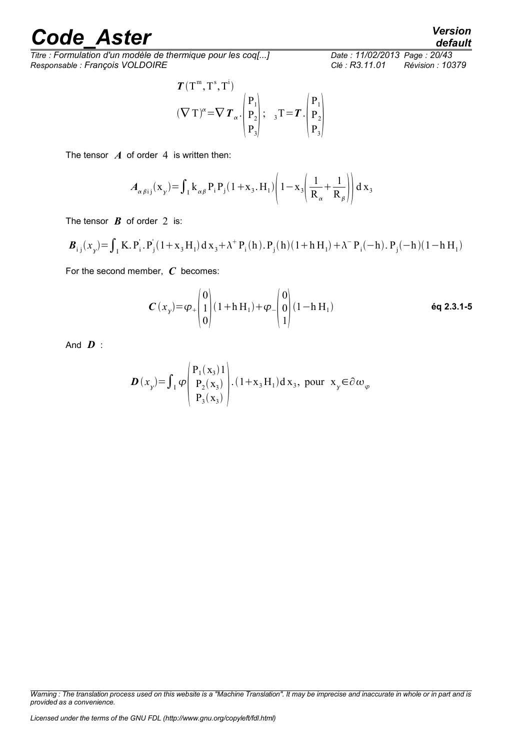*Titre : Formulation d'un modèle de thermique pour les coq[...] Responsable : François VOLDOIRE Clé : R3.11.01 Révision : 10379*

$$
T(\mathbf{T}^{\mathbf{m}}, \mathbf{T}^{\mathbf{s}}, \mathbf{T}^{\mathbf{i}})
$$
  

$$
(\nabla \mathbf{T})^{\alpha} = \nabla T_{\alpha} \cdot \begin{pmatrix} P_1 \\ P_2 \\ P_3 \end{pmatrix}; \quad {}_{3}\mathbf{T} = T \cdot \begin{pmatrix} P_1 \\ P_2 \\ P_3 \end{pmatrix}
$$

The tensor  $\boldsymbol{A}$  of order 4 is written then:

$$
A_{\alpha\beta ij}(\mathbf{x}_{\gamma}) = \int_{I} \mathbf{k}_{\alpha\beta} \mathbf{P}_{i} \mathbf{P}_{j} (1 + \mathbf{x}_{3}.\mathbf{H}_{1}) \left( 1 - \mathbf{x}_{3} \left( \frac{1}{\mathbf{R}_{\alpha}} + \frac{1}{\mathbf{R}_{\beta}} \right) \right) d \mathbf{x}_{3}
$$

The tensor  $\boldsymbol{B}$  of order 2 is:

$$
\boldsymbol{B}_{i j}(x_{\mathbf{y}}) = \int_{I} \mathbf{K} \cdot \mathbf{P}_{i}^{'} \cdot \mathbf{P}_{j}^{'}(1 + x_{3} \mathbf{H}_{1}) d x_{3} + \lambda^{+} \mathbf{P}_{i}(\mathbf{h}) \cdot \mathbf{P}_{j}(\mathbf{h}) (1 + \mathbf{h} \mathbf{H}_{1}) + \lambda^{-} \mathbf{P}_{i}(-\mathbf{h}) \cdot \mathbf{P}_{j}(-\mathbf{h}) (1 - \mathbf{h} \mathbf{H}_{1})
$$

For the second member, *C* becomes:

$$
\boldsymbol{C}(x_{y}) = \varphi_{+} \begin{pmatrix} 0 \\ 1 \\ 0 \end{pmatrix} (1 + h H_{1}) + \varphi_{-} \begin{pmatrix} 0 \\ 0 \\ 1 \end{pmatrix} (1 - h H_{1}) \qquad \text{6q 2.3.1-5}
$$

And *D* :

$$
\boldsymbol{D}(x_{y}) = \int_{I} \varphi \begin{pmatrix} P_{1}(x_{3})1 \\ P_{2}(x_{3}) \\ P_{3}(x_{3}) \end{pmatrix} . (1 + x_{3}H_{1}) dx_{3}, \text{ pour } x_{y} \in \partial \omega_{\varphi}
$$

*default*

*Warning : The translation process used on this website is a "Machine Translation". It may be imprecise and inaccurate in whole or in part and is provided as a convenience.*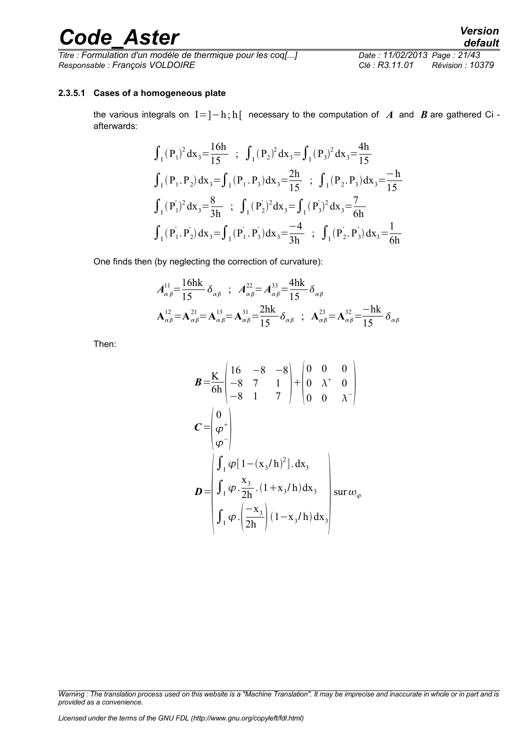*Titre : Formulation d'un modèle de thermique pour les coq[...] Date : 11/02/2013 Page : 21/43 Responsable : François VOLDOIRE Clé : R3.11.01 Révision : 10379*

#### **2.3.5.1 Cases of a homogeneous plate**

<span id="page-20-0"></span>the various integrals on I=]−h; h[ necessary to the computation of *A* and *B* are gathered Ci afterwards:

$$
\int_{I} (P_{1})^{2} dx_{3} = \frac{16h}{15} \; ; \; \int_{I} (P_{2})^{2} dx_{3} = \int_{I} (P_{3})^{2} dx_{3} = \frac{4h}{15}
$$
\n
$$
\int_{I} (P_{1}.P_{2}) dx_{3} = \int_{I} (P_{1}.P_{3}) dx_{3} = \frac{2h}{15} \; ; \; \int_{I} (P_{2}.P_{3}) dx_{3} = \frac{-h}{15}
$$
\n
$$
\int_{I} (P_{1})^{2} dx_{3} = \frac{8}{3h} \; ; \; \int_{I} (P_{2})^{2} dx_{3} = \int_{I} (P_{3})^{2} dx_{3} = \frac{7}{6h}
$$
\n
$$
\int_{I} (P_{1}.P_{2}) dx_{3} = \int_{I} (P_{1}.P_{3}) dx_{3} = \frac{-4}{3h} \; ; \; \int_{I} (P_{2}.P_{3}) dx_{3} = \frac{1}{6h}
$$

One finds then (by neglecting the correction of curvature):

$$
A_{\alpha\beta}^{11} = \frac{16\hbar k}{15} \delta_{\alpha\beta} \quad ; \quad A_{\alpha\beta}^{22} = A_{\alpha\beta}^{33} = \frac{4\hbar k}{15} \delta_{\alpha\beta}
$$

$$
\mathbf{A}_{\alpha\beta}^{12} = \mathbf{A}_{\alpha\beta}^{21} = \mathbf{A}_{\alpha\beta}^{13} = \mathbf{A}_{\alpha\beta}^{31} = \frac{2\hbar k}{15} \delta_{\alpha\beta} \quad ; \quad \mathbf{A}_{\alpha\beta}^{23} = \mathbf{A}_{\alpha\beta}^{32} = \frac{-\hbar k}{15} \delta_{\alpha\beta}
$$

Then:

$$
B = \frac{K}{6h} \begin{pmatrix} 16 & -8 & -8 \\ -8 & 7 & 1 \\ -8 & 1 & 7 \end{pmatrix} + \begin{pmatrix} 0 & 0 & 0 \\ 0 & \lambda^+ & 0 \\ 0 & 0 & \lambda^- \end{pmatrix}
$$
  
\n
$$
C = \begin{pmatrix} 0 \\ \varphi^+ \\ \varphi^- \end{pmatrix}
$$
  
\n
$$
D = \begin{pmatrix} \int_{I} \varphi [1 - (x_3/h)^2]. \, dx_3 \\ \int_{I} \varphi . \frac{x_3}{2h} . (1 + x_3/h) \, dx_3 \\ \int_{I} \varphi . \left( \frac{-x_3}{2h} \right) (1 - x_3/h) \, dx_3 \end{pmatrix} \text{ sur } \omega_{\varphi}
$$

*Warning : The translation process used on this website is a "Machine Translation". It may be imprecise and inaccurate in whole or in part and is provided as a convenience.*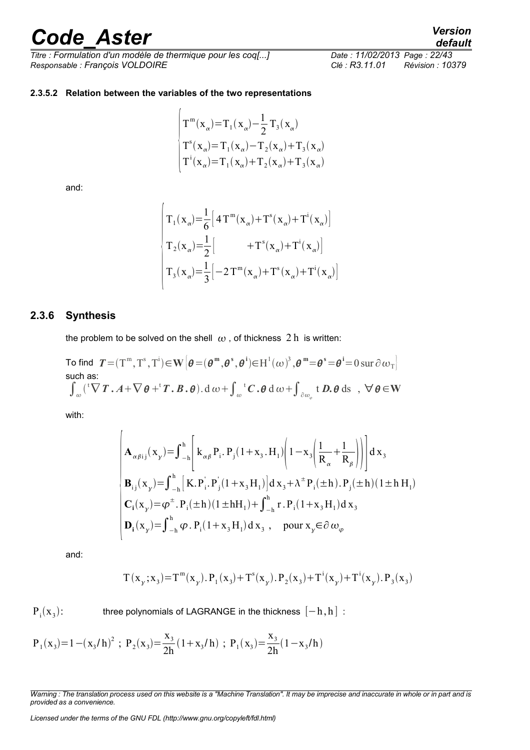*Titre : Formulation d'un modèle de thermique pour les coq[...] Date : 11/02/2013 Page : 22/43 Responsable : François VOLDOIRE Clé : R3.11.01 Révision : 10379*

*default*

#### <span id="page-21-1"></span>**2.3.5.2 Relation between the variables of the two representations**

 $\overline{1}$ 

$$
\begin{cases}\nT^{\mathfrak{m}}(\mathbf{x}_{\alpha})\!=\!T_{1}(\mathbf{x}_{\alpha})\!-\!\frac{1}{2}T_{3}(\mathbf{x}_{\alpha}) \\
T^{s}(\mathbf{x}_{\alpha})\!=\!T_{1}(\mathbf{x}_{\alpha})\!-\!T_{2}(\mathbf{x}_{\alpha})\!+\!T_{3}(\mathbf{x}_{\alpha}) \\
T^{i}(\mathbf{x}_{\alpha})\!=\!T_{1}(\mathbf{x}_{\alpha})\!+\!T_{2}(\mathbf{x}_{\alpha})\!+\!T_{3}(\mathbf{x}_{\alpha})\n\end{cases}
$$

and:

$$
\begin{vmatrix}\nT_1(\mathbf{x}_{\alpha}) = \frac{1}{6} \left[ 4 T^{\mathbf{m}}(\mathbf{x}_{\alpha}) + T^{\mathbf{s}}(\mathbf{x}_{\alpha}) + T^{\mathbf{i}}(\mathbf{x}_{\alpha}) \right] \\
T_2(\mathbf{x}_{\alpha}) = \frac{1}{2} \left[ 1 + T^{\mathbf{s}}(\mathbf{x}_{\alpha}) + T^{\mathbf{i}}(\mathbf{x}_{\alpha}) \right] \\
T_3(\mathbf{x}_{\alpha}) = \frac{1}{3} \left[ -2 T^{\mathbf{m}}(\mathbf{x}_{\alpha}) + T^{\mathbf{s}}(\mathbf{x}_{\alpha}) + T^{\mathbf{i}}(\mathbf{x}_{\alpha}) \right]\n\end{vmatrix}
$$

#### **2.3.6 Synthesis**

<span id="page-21-0"></span>the problem to be solved on the shell  $\omega$ , of thickness 2 h is written:

To find 
$$
T = (T^m, T^s, T^i) \in \mathbf{W} \left[ \boldsymbol{\theta} = (\boldsymbol{\theta}^m, \boldsymbol{\theta}^s, \boldsymbol{\theta}^i) \in H^1(\omega)^3, \boldsymbol{\theta}^m = \boldsymbol{\theta}^s = \boldsymbol{\theta}^i = 0 \text{ sur } \partial \omega_T \right]
$$
  
such as:  

$$
\int_{\omega} ({}^t \nabla T \cdot A + \nabla \boldsymbol{\theta} + {}^t T \cdot B \cdot \boldsymbol{\theta}) \cdot d \omega + \int_{\omega} {}^t C \cdot \boldsymbol{\theta} d \omega + \int_{\partial \omega_{\varphi}} t D \cdot \boldsymbol{\theta} d s \ , \ \ \forall \ \boldsymbol{\theta} \in \mathbf{W}
$$

with:

$$
\begin{cases}\n\mathbf{A}_{\alpha\beta ij}(\mathbf{x}_{\gamma}) = \int_{-h}^{h} \left[ \kappa_{\alpha\beta} P_{i} P_{j} (1 + \mathbf{x}_{3} \cdot \mathbf{H}_{1}) \left( 1 - \mathbf{x}_{3} \left( \frac{1}{R_{\alpha}} + \frac{1}{R_{\beta}} \right) \right) \right] d \mathbf{x}_{3} \\
\mathbf{B}_{ij}(\mathbf{x}_{\gamma}) = \int_{-h}^{h} \left[ \mathbf{K} . \mathbf{P}_{i} \cdot \mathbf{P}_{j} (1 + \mathbf{x}_{3} \mathbf{H}_{1}) \right] d \mathbf{x}_{3} + \lambda^{+} \mathbf{P}_{i}(\pm h) . \mathbf{P}_{j}(\pm h) (1 \pm h \mathbf{H}_{1}) \\
\mathbf{C}_{i}(\mathbf{x}_{\gamma}) = \boldsymbol{\varphi}^{\pm} . \mathbf{P}_{i}(\pm h) (1 \pm h \mathbf{H}_{1}) + \int_{-h}^{h} \mathbf{r} . \mathbf{P}_{i} (1 + \mathbf{x}_{3} \mathbf{H}_{1}) d \mathbf{x}_{3} \\
\mathbf{D}_{i}(\mathbf{x}_{\gamma}) = \int_{-h}^{h} \boldsymbol{\varphi} . \mathbf{P}_{i} (1 + \mathbf{x}_{3} \mathbf{H}_{1}) d \mathbf{x}_{3} , \quad \text{pour } \mathbf{x}_{\gamma} \in \partial \omega_{\varphi}\n\end{cases}
$$

and:

$$
T\left( {\mathbf{x}_{y}}\,;{\mathbf{x}_{3}}\right)\!=\!T^{\mathbf{m}}({\mathbf{x}_{y}}),{{\mathbf{P}}_{1}}\!\left( {\mathbf{x}_{3}}\right)\!+T^{\mathbf{s}}({\mathbf{x}_{y}}),{{\mathbf{P}}_{2}}({\mathbf{x}_{3}})\!+\!T^{\mathbf{i}}({\mathbf{x}_{y}})\!+\!T^{\mathbf{i}}({\mathbf{x}_{y}}),{{\mathbf{P}}_{3}}({\mathbf{x}_{3}})
$$

 $P_i(x_3)$ three polynomials of LAGRANGE in the thickness  $[-h, h]$ :

$$
P_1(x_3)=1-(x_3/h)^2
$$
;  $P_2(x_3) = \frac{x_3}{2h}(1+x_3/h)$ ;  $P_1(x_3) = \frac{x_3}{2h}(1-x_3/h)$ 

*Licensed under the terms of the GNU FDL (http://www.gnu.org/copyleft/fdl.html)*

*Warning : The translation process used on this website is a "Machine Translation". It may be imprecise and inaccurate in whole or in part and is provided as a convenience.*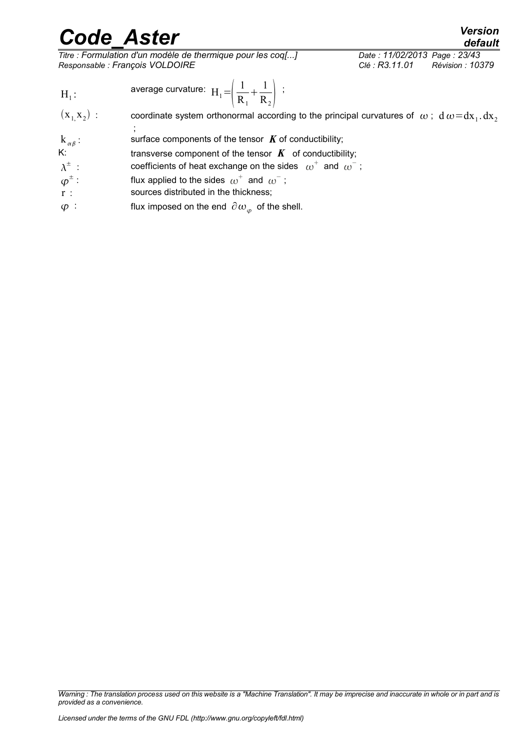*Titre : Formulation d'un modèle de thermique pour les coq[...] Date : 11/02/2013 Page : 23/43 Responsable : François VOLDOIRE Clé : R3.11.01 Révision : 10379*

- 
- $H_1$ : average curvature:  $\mathbf{H}_1 = \left(\frac{1}{R}\right)$  $R<sub>1</sub>$  $+\frac{1}{2}$  $R_{2}$ ;
- $(x_1, x_2)$ : ) : coordinate system orthonormal according to the principal curvatures of  $\,\omega$  ;  $\rm d\,\omega\!=\!dx_1.dx_2$ ;
- $k_{\alpha\beta}$ : surface components of the tensor  $K$  of conductibility;
- K: transverse component of the tensor  $K$  of conductibility;
- $\lambda^{\pm}$  $\therefore$  coefficients of heat exchange on the sides  $\omega^+$  and  $\omega^-$ ;
- $\varphi^\pm$ : flux applied to the sides  $\omega^+$  and  $\omega^-$ ;
- $\overrightarrow{r}$ : sources distributed in the thickness;
- $\varphi$  : flux imposed on the end  $\partial \omega_{\varphi}$  of the shell.

*Warning : The translation process used on this website is a "Machine Translation". It may be imprecise and inaccurate in whole or in part and is provided as a convenience.*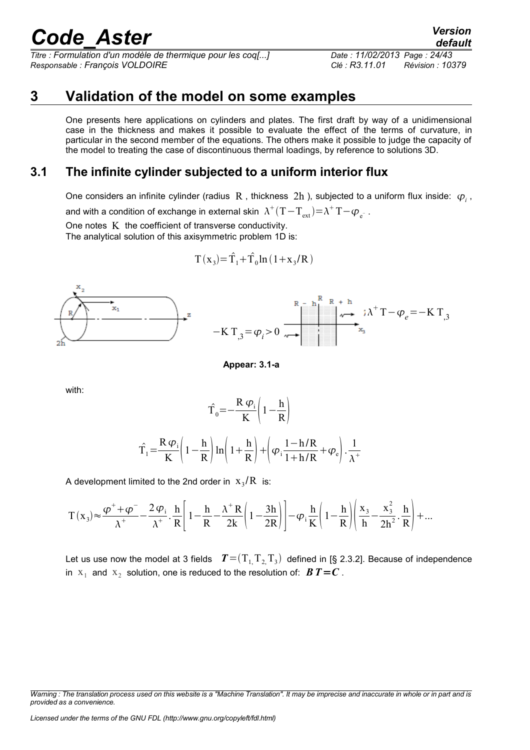*Titre : Formulation d'un modèle de thermique pour les coq[...] Date : 11/02/2013 Page : 24/43 Responsable : François VOLDOIRE Clé : R3.11.01 Révision : 10379*

### **3 Validation of the model on some examples**

<span id="page-23-1"></span>One presents here applications on cylinders and plates. The first draft by way of a unidimensional case in the thickness and makes it possible to evaluate the effect of the terms of curvature, in particular in the second member of the equations. The others make it possible to judge the capacity of the model to treating the case of discontinuous thermal loadings, by reference to solutions 3D.

### **3.1 The infinite cylinder subjected to a uniform interior flux**

<span id="page-23-0"></span>One considers an infinite cylinder (radius  $|R$ , thickness  $2h$ ), subjected to a uniform flux inside:  $\varphi$ <sub>i</sub>,

and with a condition of exchange in external skin  $\,\Lambda^{^{+}}(\mathrm{T}\!-\!\mathrm{T}_{\mathrm{ext}})\!=\!\mathrm{\lambda}^{^{+}}\mathrm{T}\!-\!\varphi_{\mathrm{e}^{-}}$  .

One notes  $K$  the coefficient of transverse conductivity.

The analytical solution of this axisymmetric problem 1D is:

$$
T(x_3)=\hat{T}_1+\hat{T}_0\ln(1+x_3/R)
$$



**Appear: 3.1-a**

with:

$$
\hat{T}_0 = -\frac{R \varphi_i}{K} \left( 1 - \frac{h}{R} \right)
$$

$$
\hat{T}_1 = \frac{R \varphi_i}{K} \left( 1 - \frac{h}{R} \right) \ln \left( 1 + \frac{h}{R} \right) + \left( \varphi_i \frac{1 - h/R}{1 + h/R} + \varphi_e \right) \cdot \frac{1}{\lambda^+}
$$

A development limited to the 2nd order in  $\langle x_{3}/R \rangle$  is:

$$
T\left(x_3\right) \approx \frac{\phi^+ + \phi^-}{\lambda^+} - \frac{2\,\phi_i}{\lambda^+} \cdot \frac{h}{R} \Bigg[ \left(1-\frac{h}{R} - \frac{\lambda^+\,R}{2k}\right)\left(1-\frac{3h}{2R}\right) \Bigg] - \phi_i \frac{h}{K} \Bigg(1-\frac{h}{R}\Bigg) \Bigg( \frac{x_3}{h} - \frac{x_3^2}{2h^2} \cdot \frac{h}{R} \Bigg) + \dots
$$

Let us use now the model at 3 fields  $T = (T_{1,1}T_{2,1}T_{3})$  defined in [§ 2.3.2]. Because of independence in  $\mathbf{x}_1$  and  $\mathbf{x}_2$  solution, one is reduced to the resolution of:  $\boldsymbol{B}\boldsymbol{T}=\boldsymbol{C}$  .

*default*

*Warning : The translation process used on this website is a "Machine Translation". It may be imprecise and inaccurate in whole or in part and is provided as a convenience.*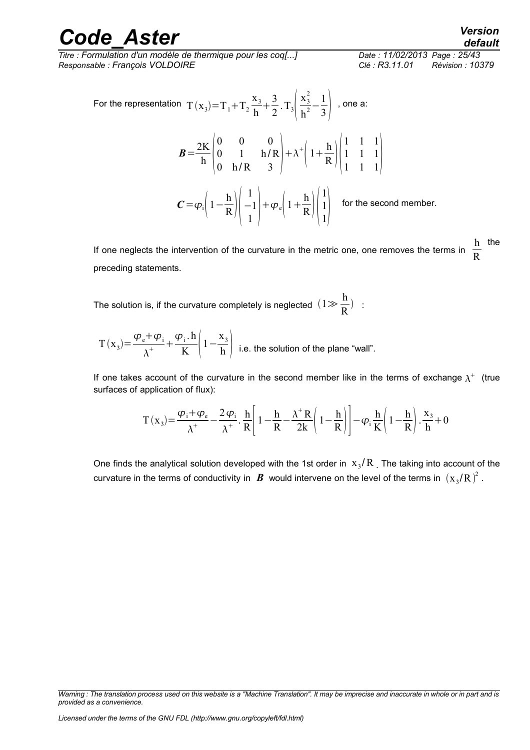*Titre : Formulation d'un modèle de thermique pour les coq[...] Date : 11/02/2013 Page : 25/43 Responsable : François VOLDOIRE Clé : R3.11.01 Révision : 10379*

For the representation 
$$
T(x_3)=T_1+T_2\frac{x_3}{h}+\frac{3}{2}\cdot T_3\left(\frac{x_3^2}{h^2}-\frac{1}{3}\right)
$$
, one a:  
\n
$$
B=\frac{2K}{h}\begin{pmatrix} 0 & 0 & 0 \\ 0 & 1 & h/R \\ 0 & h/R & 3 \end{pmatrix} + \lambda^+ \left(1+\frac{h}{R}\right)\begin{pmatrix} 1 & 1 & 1 \\ 1 & 1 & 1 \\ 1 & 1 & 1 \end{pmatrix}
$$
\n
$$
C=\varphi_i\left(1-\frac{h}{R}\right)\begin{pmatrix} 1 \\ -1 \\ 1 \end{pmatrix} + \varphi_e\left(1+\frac{h}{R}\right)\begin{pmatrix} 1 \\ 1 \\ 1 \end{pmatrix}
$$
 for the second member.

If one neglects the intervention of the curvature in the metric one, one removes the terms in h the R preceding statements.

The solution is, if the curvature completely is neglected  $(1\gg\frac{\hbar}{\Gamma})$  $\frac{1}{R}$ ) :

$$
T(x_3) = \frac{\varphi_e + \varphi_i}{\lambda^+} + \frac{\varphi_i \cdot h}{K} \left(1 - \frac{x_3}{h}\right)
$$
 i.e. the solution of the plane "wall".

If one takes account of the curvature in the second member like in the terms of exchange  $\lambda^+$  (true surfaces of application of flux):

$$
T(x_3) = \frac{\varphi_i + \varphi_e}{\lambda^+} - \frac{2 \varphi_i}{\lambda^+} \cdot \frac{h}{R} \left[ 1 - \frac{h}{R} - \frac{\lambda^+ R}{2k} \left( 1 - \frac{h}{R} \right) \right] - \varphi_i \frac{h}{K} \left( 1 - \frac{h}{R} \right) \cdot \frac{x_3}{h} + 0
$$

One finds the analytical solution developed with the 1st order in  $\rm\,x_{3}/R$  <sub>.</sub> The taking into account of the curvature in the terms of conductivity in  $\, {\bm B} \,$  would intervene on the level of the terms in  $\, (\rm x_{\rm 3}/R \,)^{\!2}$  .

*Warning : The translation process used on this website is a "Machine Translation". It may be imprecise and inaccurate in whole or in part and is provided as a convenience.*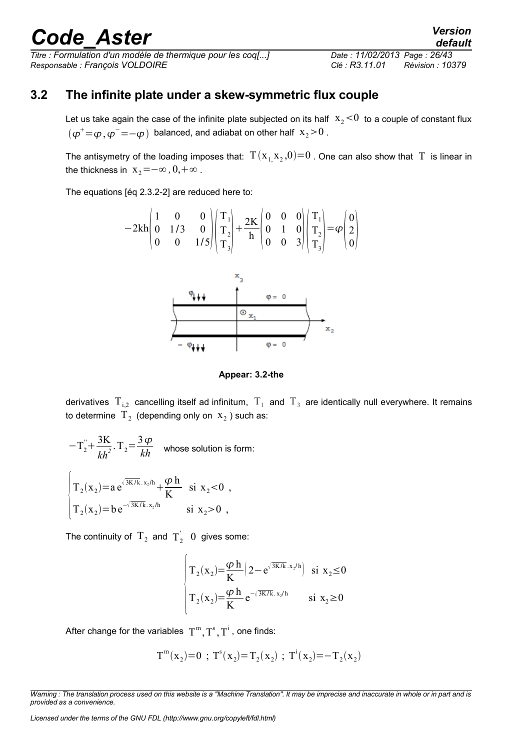*Titre : Formulation d'un modèle de thermique pour les coq[...] Date : 11/02/2013 Page : 26/43 Responsable : François VOLDOIRE Clé : R3.11.01 Révision : 10379*

### **3.2 The infinite plate under a skew-symmetric flux couple**

<span id="page-25-0"></span>Let us take again the case of the infinite plate subjected on its half  $x_2<0$  to a couple of constant flux  $(\varphi^+\!=\!\varphi\,,\varphi^-\!=\!-\varphi)$  balanced, and adiabat on other half  $\mathrm{x}_2\!>\!0$  .

The antisymetry of the loading imposes that:  $\rm\,T(x_{1,}x_{2},0) {=} 0$  . One can also show that  $\rm\,T\,$  is linear in the thickness in  $x_2 = -\infty$ ,  $0, +\infty$ .

The equations [éq 2.3.2-2] are reduced here to:

$$
-2kh \begin{pmatrix} 1 & 0 & 0 \\ 0 & 1/3 & 0 \\ 0 & 0 & 1/5 \end{pmatrix} \begin{pmatrix} T_1 \\ T_2 \\ T_3 \end{pmatrix} + \frac{2K}{h} \begin{pmatrix} 0 & 0 & 0 \\ 0 & 1 & 0 \\ 0 & 0 & 3 \end{pmatrix} \begin{pmatrix} T_1 \\ T_2 \\ T_3 \end{pmatrix} = \varphi \begin{pmatrix} 0 \\ 2 \\ 0 \end{pmatrix}
$$



**Appear: 3.2-the**

derivatives  $\rm T_{i,2}$  cancelling itself ad infinitum,  $\rm T_1$  and  $\rm T_3$  are identically null everywhere. It remains to determine  $\ket{\mathrm{T}_2}$  (depending only on  $\ket{\mathrm{x}_2}$  ) such as:

$$
-T_2 + \frac{3K}{kh^2} \cdot T_2 = \frac{3 \varphi}{kh}
$$
 whose solution is form:  

$$
\begin{cases} T_2(x_2) = a e^{\sqrt{3K/k} \cdot x_2/h} + \frac{\varphi h}{K} & \text{si } x_2 < 0, \\ T_2(x_2) = b e^{-\sqrt{3K/k} \cdot x_2/h} & \text{si } x_2 > 0, \end{cases}
$$

The continuity of  $T_2$  and  $T_2^{'}$  0 gives some:

$$
\begin{cases}\nT_2(x_2) = \frac{\varphi h}{K} \left(2 - e^{\sqrt{3K/k} \cdot x_2/h}\right) & \text{si } x_2 \le 0 \\
T_2(x_2) = \frac{\varphi h}{K} e^{-\sqrt{3K/k} \cdot x_2/h} & \text{si } x_2 \ge 0\n\end{cases}
$$

After change for the variables  $\, {\rm T}^{\rm m}, {\rm T}^{\rm s}, {\rm T}^{\rm i}$  , one finds:

$$
T^{m}(x_2)=0
$$
;  $T^{s}(x_2)=T_2(x_2)$ ;  $T^{i}(x_2)=-T_2(x_2)$ 

*Licensed under the terms of the GNU FDL (http://www.gnu.org/copyleft/fdl.html)*

*default*

*Warning : The translation process used on this website is a "Machine Translation". It may be imprecise and inaccurate in whole or in part and is provided as a convenience.*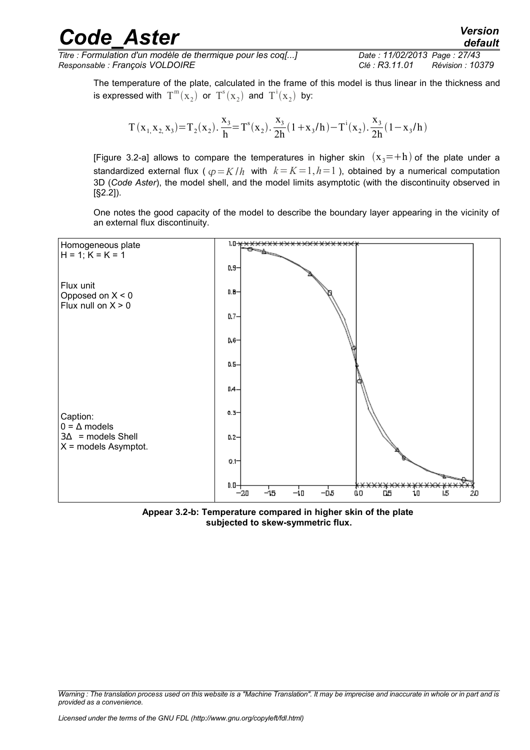*Titre : Formulation d'un modèle de thermique pour les coq[...] Date : 11/02/2013 Page : 27/43 Responsable : François VOLDOIRE Clé : R3.11.01 Révision : 10379*

The temperature of the plate, calculated in the frame of this model is thus linear in the thickness and is expressed with  $\text{T}^{\text{m}}(\text{x}_2)$  or  $\text{T}^{\text{s}}(\text{x}_2)$  and  $\text{T}^{\text{i}}(\text{x}_2)$  by:

$$
T(x_{1,}x_{2,}x_{3})=T_{2}(x_{2}).\frac{x_{3}}{h}=T^{s}(x_{2}).\frac{x_{3}}{2h}(1+x_{3}/h)-T^{i}(x_{2}).\frac{x_{3}}{2h}(1-x_{3}/h)
$$

[Figure 3.2-a] allows to compare the temperatures in higher skin  $(x_3=+h)$  of the plate under a standardized external flux ( $\varphi = K/h$  with  $k = K = 1, h = 1$ ), obtained by a numerical computation 3D (*Code Aster*), the model shell, and the model limits asymptotic (with the discontinuity observed in [§2.2]).

One notes the good capacity of the model to describe the boundary layer appearing in the vicinity of an external flux discontinuity.



**Appear 3.2-b: Temperature compared in higher skin of the plate subjected to skew-symmetric flux.**

*Warning : The translation process used on this website is a "Machine Translation". It may be imprecise and inaccurate in whole or in part and is provided as a convenience.*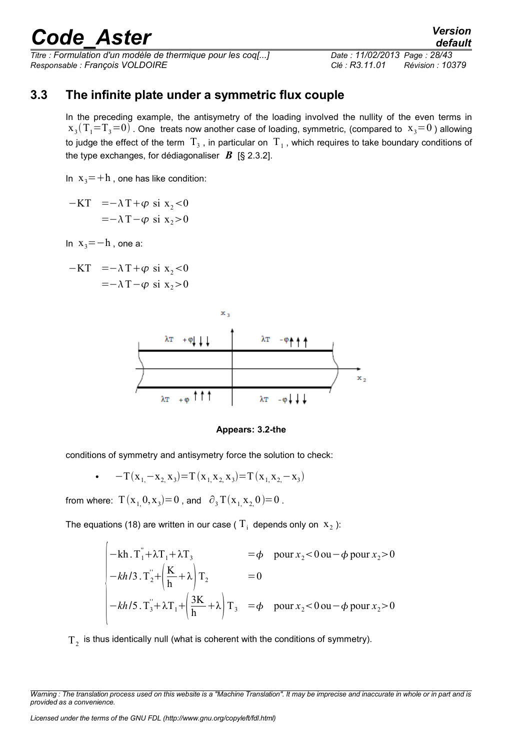*Titre : Formulation d'un modèle de thermique pour les coq[...] Date : 11/02/2013 Page : 28/43 Responsable : François VOLDOIRE Clé : R3.11.01 Révision : 10379*

### **3.3 The infinite plate under a symmetric flux couple**

<span id="page-27-0"></span>In the preceding example, the antisymetry of the loading involved the nullity of the even terms in  $\rm{x\,3}(T_i{=}T_3{=}0)$  . One treats now another case of loading, symmetric, (compared to  $\rm\,x\,3{=}0$  ) allowing to judge the effect of the term  $\rm\,T_{3}$  , in particular on  $\rm\,T_{1}$  , which requires to take boundary conditions of the type exchanges, for dédiagonaliser  $\bm{B}$  [§ 2.3.2].

In  $x_3 = +h$ , one has like condition:

 $-KT = -\lambda T + \varphi \text{ si } x, 0$  $=-\lambda T-\varphi \text{ si } x_2>0$ 

In  $x_3=-h$ , one a:

$$
-KT = -\lambda T + \varphi \text{ si } x_2 < 0
$$
  
= -\lambda T - \varphi \text{ si } x\_2 > 0



**Appears: 3.2-the**

conditions of symmetry and antisymetry force the solution to check:

$$
\bullet \quad -T(x_{1,}-x_{2,}x_{3})=T(x_{1,}x_{2,}x_{3})=T(x_{1,}x_{2,-}x_{3})
$$

from where:  $T(x_{1,}0,x_3)=0$  , and  $\partial_3 T(x_{1,}x_{2,}0)=0$  .

The equations (18) are written in our case (  $\mathrm{T_i^+}$  depends only on  $\mathrm{x_2^+}$ ):

$$
\begin{vmatrix}\n-\mathbf{kh} \cdot \mathbf{T}_1 + \lambda \mathbf{T}_1 + \lambda \mathbf{T}_3 & = \phi & \text{pour } x_2 < 0 \text{ ou } -\phi \text{ pour } x_2 > 0 \\
-\mathbf{k} h / 3 \cdot \mathbf{T}_2 + \left(\frac{\mathbf{K}}{\mathbf{h}} + \lambda\right) \mathbf{T}_2 & = 0 \\
-\mathbf{k} h / 5 \cdot \mathbf{T}_3 + \lambda \mathbf{T}_1 + \left(\frac{3\mathbf{K}}{\mathbf{h}} + \lambda\right) \mathbf{T}_3 & = \phi & \text{pour } x_2 < 0 \text{ ou } -\phi \text{ pour } x_2 > 0\n\end{vmatrix}
$$

 $\text{T}_2^{\phantom{\dagger}}$  is thus identically null (what is coherent with the conditions of symmetry).

*Warning : The translation process used on this website is a "Machine Translation". It may be imprecise and inaccurate in whole or in part and is provided as a convenience.*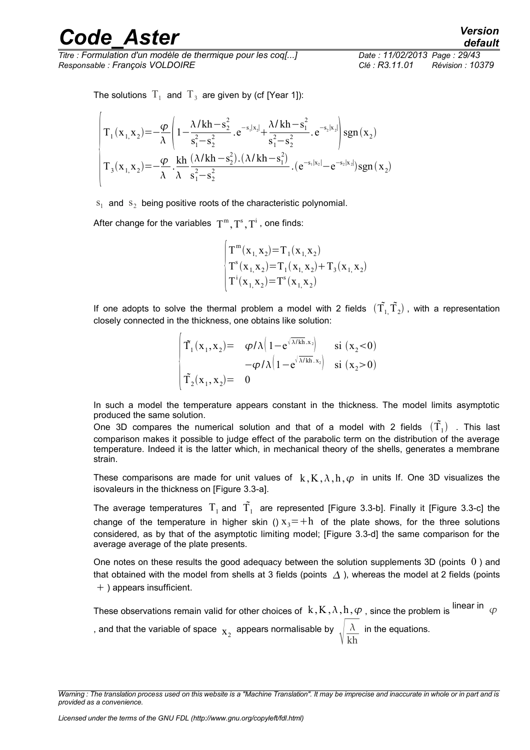*Titre : Formulation d'un modèle de thermique pour les coq[...] Date : 11/02/2013 Page : 29/43 Responsable : François VOLDOIRE Clé : R3.11.01 Révision : 10379*

The solutions  $\mathrm{T}_1^+$  and  $\mathrm{T}_3^+$  are given by (cf [Year 1]):

$$
\begin{pmatrix}\nT_1(x_{1,}x_2) = -\frac{\varphi}{\lambda} \left(1 - \frac{\lambda/kh - s_2^2}{s_1^2 - s_2^2} \cdot e^{-s_1|x_2|} + \frac{\lambda/kh - s_1^2}{s_1^2 - s_2^2} \cdot e^{-s_2|x_2|}\right) sgn(x_2) \\
T_3(x_{1,}x_2) = -\frac{\varphi}{\lambda} \cdot \frac{kh}{\lambda} \frac{(\lambda/kh - s_2^2) \cdot (\lambda/kh - s_1^2)}{s_1^2 - s_2^2} \cdot (e^{-s_1|x_2|} - e^{-s_2|x_2|}) sgn(x_2)\n\end{pmatrix}
$$

 $s_1$  and  $s_2$  being positive roots of the characteristic polynomial.

After change for the variables  $\, {\rm T}^{\rm m}, {\rm T}^{\rm s}, {\rm T}^{\rm i}$  , one finds:

$$
\begin{cases}\nT^m(x_1, x_2) = T_1(x_1, x_2) \\
T^s(x_1, x_2) = T_1(x_1, x_2) + T_3(x_1, x_2) \\
T^i(x_1, x_2) = T^s(x_1, x_2)\n\end{cases}
$$

If one adopts to solve the thermal problem a model with 2 fields  $(\tilde{T_1}, \tilde{T_2})$  , with a representation closely connected in the thickness, one obtains like solution:

$$
\begin{vmatrix}\n\tilde{\mathbf{T}}_1(\mathbf{x}_1, \mathbf{x}_2) = & \varphi/\lambda \left(1 - e^{\sqrt{\lambda/\mathrm{kh}} \cdot \mathbf{x}_2}\right) & \mathrm{si} \ (\mathbf{x}_2 < 0) \\
-\varphi/\lambda \left(1 - e^{\sqrt{\lambda/\mathrm{kh}} \cdot \mathbf{x}_2}\right) & \mathrm{si} \ (\mathbf{x}_2 > 0) \\
\tilde{\mathbf{T}}_2(\mathbf{x}_1, \mathbf{x}_2) = & 0\n\end{vmatrix}
$$

In such a model the temperature appears constant in the thickness. The model limits asymptotic produced the same solution.

One 3D compares the numerical solution and that of a model with 2 fields  $(\tilde{\mathrm{T}}_{1})$  . This last comparison makes it possible to judge effect of the parabolic term on the distribution of the average temperature. Indeed it is the latter which, in mechanical theory of the shells, generates a membrane strain.

These comparisons are made for unit values of  $k, K, \lambda, h, \varphi$  in units If. One 3D visualizes the isovaleurs in the thickness on [Figure 3.3-a].

The average temperatures  $\rm T_1$  and  $\rm \tilde{T_1}$  are represented [Figure 3.3-b]. Finally it [Figure 3.3-c] the change of the temperature in higher skin ()  $x_3=+h$  of the plate shows, for the three solutions considered, as by that of the asymptotic limiting model; [Figure 3.3-d] the same comparison for the average average of the plate presents.

One notes on these results the good adequacy between the solution supplements 3D (points  $\theta$ ) and that obtained with the model from shells at 3 fields (points  $\Delta$ ), whereas the model at 2 fields (points  $+$ ) appears insufficient.

These observations remain valid for other choices of  $k, K, \lambda, h, \varphi$ , since the problem is linear in  $\varphi$ , and that the variable of space  $\mathbf{x}_2^{\top}$  appears normalisable by  $\sqrt{k}$  $\lambda$ kh in the equations.

*Warning : The translation process used on this website is a "Machine Translation". It may be imprecise and inaccurate in whole or in part and is provided as a convenience.*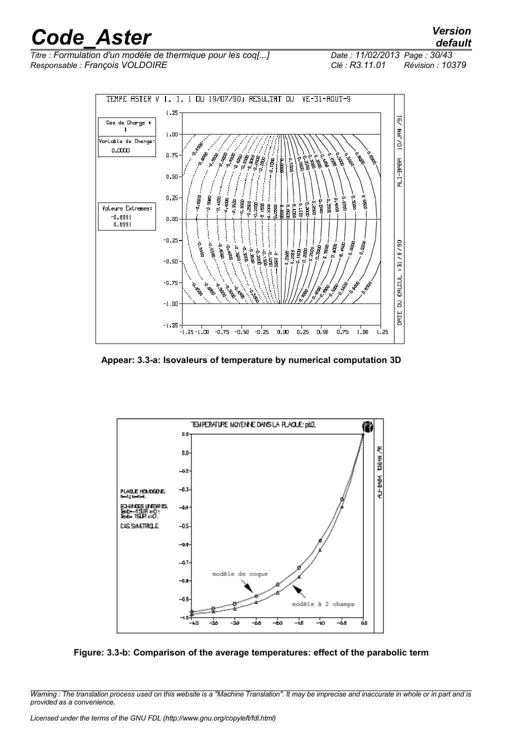*Titre : Formulation d'un modèle de thermique pour les coq[...] Date : 11/02/2013 Page : 30/43 Responsable : François VOLDOIRE Clé : R3.11.01 Révision : 10379*



**Appear: 3.3-a: Isovaleurs of temperature by numerical computation 3D**



**Figure: 3.3-b: Comparison of the average temperatures: effect of the parabolic term**

*Warning : The translation process used on this website is a "Machine Translation". It may be imprecise and inaccurate in whole or in part and is provided as a convenience.*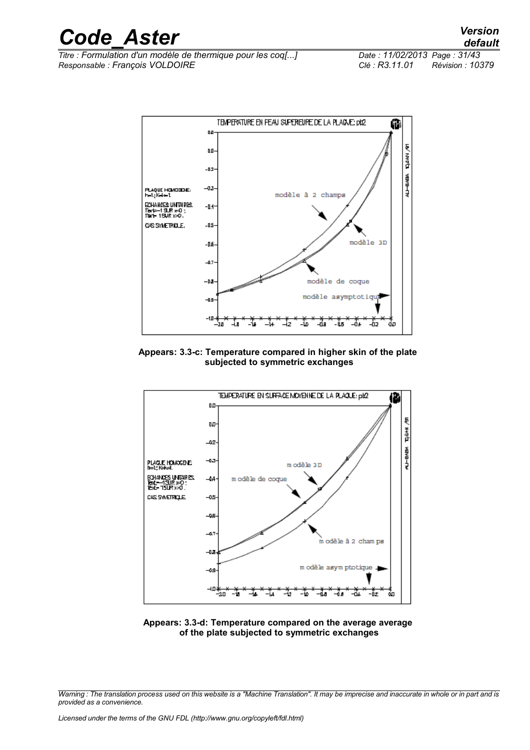*Titre : Formulation d'un modèle de thermique pour les coq[...] Date : 11/02/2013 Page : 31/43 Responsable : François VOLDOIRE Clé : R3.11.01 Révision : 10379*



**Appears: 3.3-c: Temperature compared in higher skin of the plate subjected to symmetric exchanges**



**Appears: 3.3-d: Temperature compared on the average average of the plate subjected to symmetric exchanges**

*Warning : The translation process used on this website is a "Machine Translation". It may be imprecise and inaccurate in whole or in part and is provided as a convenience.*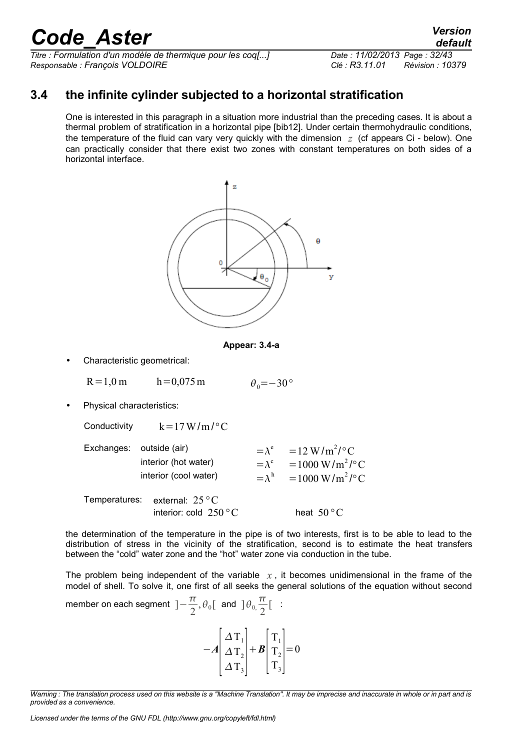*Titre : Formulation d'un modèle de thermique pour les coq[...] Date : 11/02/2013 Page : 32/43 Responsable : François VOLDOIRE Clé : R3.11.01 Révision : 10379*

### **3.4 the infinite cylinder subjected to a horizontal stratification**

<span id="page-31-0"></span>One is interested in this paragraph in a situation more industrial than the preceding cases. It is about a thermal problem of stratification in a horizontal pipe [bib12]. Under certain thermohydraulic conditions, the temperature of the fluid can vary very quickly with the dimension *z* (cf appears Ci - below). One can practically consider that there exist two zones with constant temperatures on both sides of a horizontal interface.





• Characteristic geometrical:

R=1,0 m h=0,075 m  $\theta_0 = -30^{\circ}$ 

• Physical characteristics:

| Conductivity  | $k = 17 W/m / \degree C$                                       |                |                                                                                                                              |
|---------------|----------------------------------------------------------------|----------------|------------------------------------------------------------------------------------------------------------------------------|
| Exchanges:    | outside (air)<br>interior (hot water)<br>interior (cool water) | $=\lambda^{c}$ | $=\lambda^e = 12 \text{ W/m}^2/\text{°C}$<br>$=1000 \,\mathrm{W/m^2/cC}$<br>$=\lambda^h = 1000 \,\mathrm{W/m^2/\,^{\circ}C}$ |
| Temperatures: | external: $25^{\circ}$ C<br>interior: cold $250 °C$            |                | heat $50^{\circ}$ C                                                                                                          |

the determination of the temperature in the pipe is of two interests, first is to be able to lead to the distribution of stress in the vicinity of the stratification, second is to estimate the heat transfers between the "cold" water zone and the "hot" water zone via conduction in the tube.

The problem being independent of the variable  $x$ , it becomes unidimensional in the frame of the model of shell. To solve it, one first of all seeks the general solutions of the equation without second

member on each segment 
$$
]-\frac{\pi}{2}, \theta_0[
$$
 and  $]\theta_0, \frac{\pi}{2}[$  :

| $\Delta$ T <sub>1</sub><br>$\Delta T_2$<br>ΔT | $\left +\boldsymbol{B}\right T_{2}$ |  |  |
|-----------------------------------------------|-------------------------------------|--|--|
|-----------------------------------------------|-------------------------------------|--|--|

*Warning : The translation process used on this website is a "Machine Translation". It may be imprecise and inaccurate in whole or in part and is provided as a convenience.*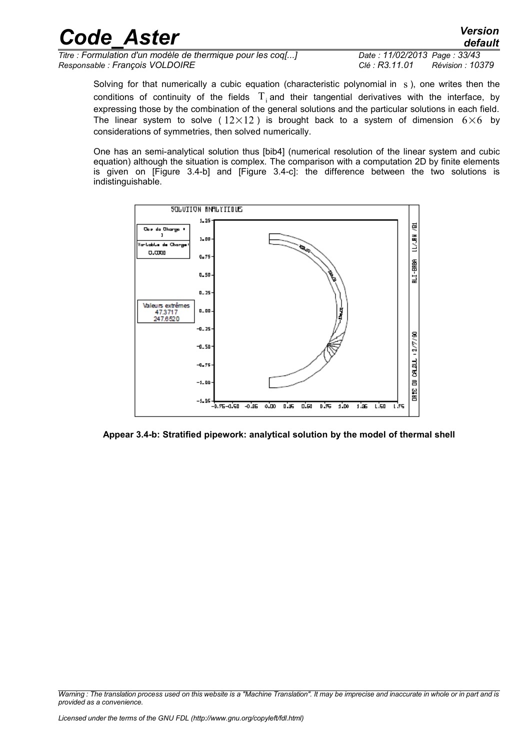| <b>Code Aster</b>                                           | <b>Version</b><br>default         |
|-------------------------------------------------------------|-----------------------------------|
| Titre : Formulation d'un modèle de thermique pour les coq[] | Date: 11/02/2013 Page: 33/43      |
| Responsable : François VOLDOIRE                             | Clé: R3.11.01<br>Révision : 10379 |

Solving for that numerically a cubic equation (characteristic polynomial in s), one writes then the conditions of continuity of the fields  $T_i$  and their tangential derivatives with the interface, by expressing those by the combination of the general solutions and the particular solutions in each field. The linear system to solve (  $12\times12$  ) is brought back to a system of dimension  $6\times6$  by considerations of symmetries, then solved numerically.

One has an semi-analytical solution thus [bib4] (numerical resolution of the linear system and cubic equation) although the situation is complex. The comparison with a computation 2D by finite elements is given on [Figure 3.4-b] and [Figure 3.4-c]: the difference between the two solutions is indistinguishable.



**Appear 3.4-b: Stratified pipework: analytical solution by the model of thermal shell**

*Warning : The translation process used on this website is a "Machine Translation". It may be imprecise and inaccurate in whole or in part and is provided as a convenience.*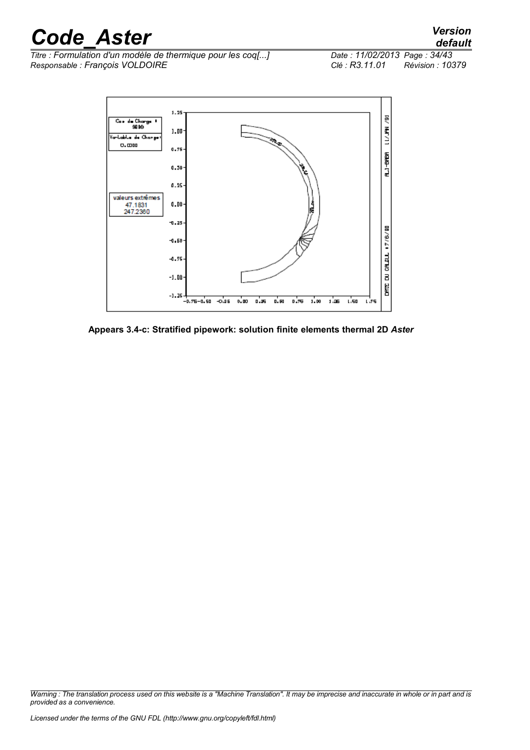*Titre : Formulation d'un modèle de thermique pour les coq[...] Responsable : François VOLDOIRE Clé : R3.11.01 Révision : 10379*



**Appears 3.4-c: Stratified pipework: solution finite elements thermal 2D** *Aster*

*Warning : The translation process used on this website is a "Machine Translation". It may be imprecise and inaccurate in whole or in part and is provided as a convenience.*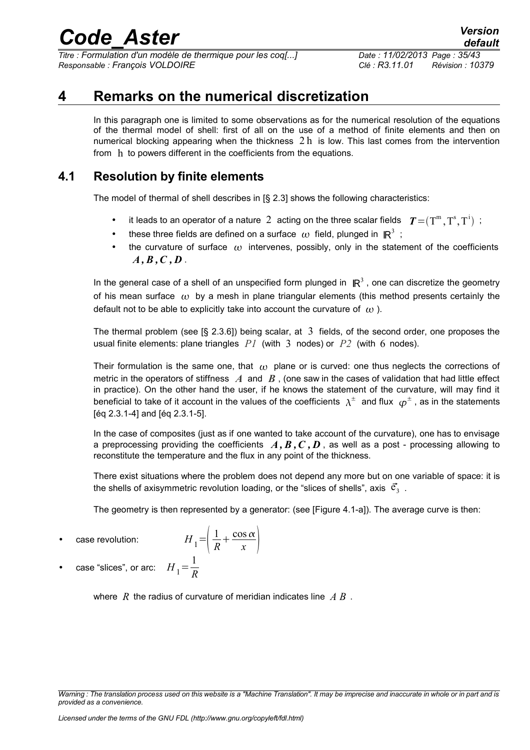*Titre : Formulation d'un modèle de thermique pour les coq[...] Date : 11/02/2013 Page : 35/43 Responsable : François VOLDOIRE Clé : R3.11.01 Révision : 10379*

### **4 Remarks on the numerical discretization**

<span id="page-34-1"></span>In this paragraph one is limited to some observations as for the numerical resolution of the equations of the thermal model of shell: first of all on the use of a method of finite elements and then on numerical blocking appearing when the thickness  $2 h$  is low. This last comes from the intervention from h to powers different in the coefficients from the equations.

### **4.1 Resolution by finite elements**

<span id="page-34-0"></span>The model of thermal of shell describes in [§ 2.3] shows the following characteristics:

- it leads to an operator of a nature 2 acting on the three scalar fields  $T = (T^m, T^s, T^i)$ ;
- these three fields are defined on a surface  $\omega$  field, plunged in  $\mathbb{R}^3$ ;
- the curvature of surface  $\omega$  intervenes, possibly, only in the statement of the coefficients  $A, B, C, D$ .

In the general case of a shell of an unspecified form plunged in  $\mathbb{R}^3$ , one can discretize the geometry of his mean surface  $\omega$  by a mesh in plane triangular elements (this method presents certainly the default not to be able to explicitly take into account the curvature of  $\omega$ ).

The thermal problem (see [§ 2.3.6]) being scalar, at 3 fields, of the second order, one proposes the usual finite elements: plane triangles *P1* (with 3 nodes) or *P2* (with 6 nodes).

Their formulation is the same one, that  $\omega$  plane or is curved: one thus neglects the corrections of metric in the operators of stiffness  $\vec{A}$  and  $\vec{B}$ , (one saw in the cases of validation that had little effect in practice). On the other hand the user, if he knows the statement of the curvature, will may find it beneficial to take of it account in the values of the coefficients  $\,\lambda^\pm\,$  and flux  $\,\varphi^\pm$  , as in the statements [éq 2.3.1-4] and [éq 2.3.1-5].

In the case of composites (just as if one wanted to take account of the curvature), one has to envisage a preprocessing providing the coefficients  $\vec{A}, \vec{B}, \vec{C}, \vec{D}$ , as well as a post - processing allowing to reconstitute the temperature and the flux in any point of the thickness.

There exist situations where the problem does not depend any more but on one variable of space: it is the shells of axisymmetric revolution loading, or the "slices of shells", axis  $\vert\vec{\mathbf{c}}_3\vert$  .

The geometry is then represented by a generator: (see [Figure 4.1-a]). The average curve is then:

case revolution:

$$
H_1 = \left(\frac{1}{R} + \frac{\cos \alpha}{x}\right)
$$

• case "slices", or arc:  $H_1 = \frac{1}{R}$ *R*

where *R* the radius of curvature of meridian indicates line *A B* .

*Warning : The translation process used on this website is a "Machine Translation". It may be imprecise and inaccurate in whole or in part and is provided as a convenience.*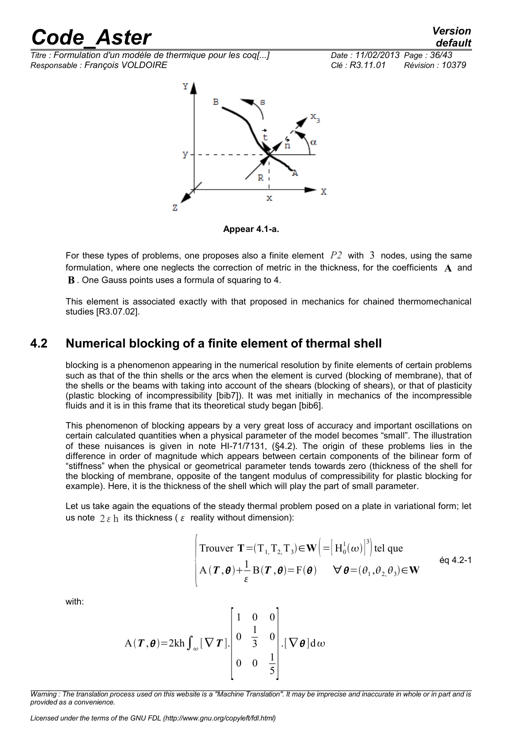*Titre : Formulation d'un modèle de thermique pour les coq[...] Date : 11/02/2013 Page : 36/43 Responsable : François VOLDOIRE Clé : R3.11.01 Révision : 10379*



**Appear 4.1-a.**

For these types of problems, one proposes also a finite element *P2* with 3 nodes, using the same formulation, where one neglects the correction of metric in the thickness, for the coefficients **A** and **B** . One Gauss points uses a formula of squaring to 4.

This element is associated exactly with that proposed in mechanics for chained thermomechanical studies [R3.07.02].

### **4.2 Numerical blocking of a finite element of thermal shell**

<span id="page-35-0"></span>blocking is a phenomenon appearing in the numerical resolution by finite elements of certain problems such as that of the thin shells or the arcs when the element is curved (blocking of membrane), that of the shells or the beams with taking into account of the shears (blocking of shears), or that of plasticity (plastic blocking of incompressibility [bib7]). It was met initially in mechanics of the incompressible fluids and it is in this frame that its theoretical study began [bib6].

This phenomenon of blocking appears by a very great loss of accuracy and important oscillations on certain calculated quantities when a physical parameter of the model becomes "small". The illustration of these nuisances is given in note HI-71/7131, (§4.2). The origin of these problems lies in the difference in order of magnitude which appears between certain components of the bilinear form of "stiffness" when the physical or geometrical parameter tends towards zero (thickness of the shell for the blocking of membrane, opposite of the tangent modulus of compressibility for plastic blocking for example). Here, it is the thickness of the shell which will play the part of small parameter.

Let us take again the equations of the steady thermal problem posed on a plate in variational form; let us note  $2 \varepsilon$  h its thickness ( $\varepsilon$  reality without dimension):

Trouver **T** = (T<sub>1</sub>, T<sub>2</sub>, T<sub>3</sub>) ∈ **W** (=[H<sub>0</sub><sup>1</sup>(ω)]<sup>3</sup>) tel que  
A (**T**, **θ**) + 
$$
\frac{1}{\varepsilon}
$$
 B(**T**, **θ**) = F(**θ**)  $\forall$  **θ** = ( $\theta_1$ ,  $\theta_2$ ,  $\theta_3$ ) ∈ **W** éq 4.2-1

with:

$$
A(T,\theta)=2kh\int_{\omega}[\nabla T]\left[\begin{array}{ccc|c}1 & 0 & 0\\0 & \frac{1}{3} & 0\\0 & 0 & \frac{1}{5}\end{array}\right][\nabla \theta]d\omega
$$

*Warning : The translation process used on this website is a "Machine Translation". It may be imprecise and inaccurate in whole or in part and is provided as a convenience.*

*Licensed under the terms of the GNU FDL (http://www.gnu.org/copyleft/fdl.html)*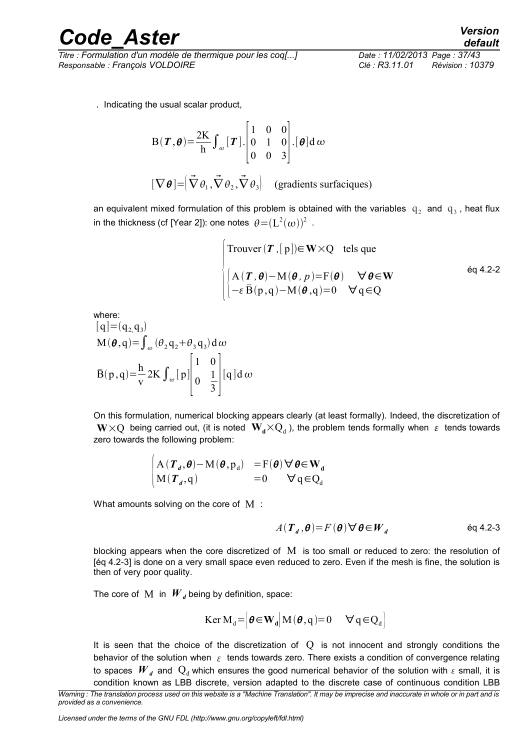*Titre : Formulation d'un modèle de thermique pour les coq[...] Date : 11/02/2013 Page : 37/43 Responsable : François VOLDOIRE Clé : R3.11.01 Révision : 10379*

. Indicating the usual scalar product,

$$
B(\boldsymbol{T}, \boldsymbol{\theta}) = \frac{2K}{h} \int_{\omega} [\boldsymbol{T}] \cdot \begin{bmatrix} 1 & 0 & 0 \\ 0 & 1 & 0 \\ 0 & 0 & 3 \end{bmatrix} . [\boldsymbol{\theta}] d \omega
$$

$$
[\nabla \boldsymbol{\theta}] = (\vec{\nabla} \theta_1, \vec{\nabla} \theta_2, \vec{\nabla} \theta_3) \quad \text{(gradients surfaces)}
$$

an equivalent mixed formulation of this problem is obtained with the variables  $q_2$  and  $q_3$ , heat flux in the thickness (cf [Year 2]): one notes  $\,\displaystyle \theta\!=\!(\textrm{L}^{\textrm{2}}(\omega))^2\,$  .

\n
$$
\begin{cases}\n \text{Trouver}(\boldsymbol{T}, [p]) \in \mathbf{W} \times Q & \text{tels que} \\
 \left[ A(\boldsymbol{T}, \boldsymbol{\theta}) - M(\boldsymbol{\theta}, p) = F(\boldsymbol{\theta}) & \forall \boldsymbol{\theta} \in \mathbf{W} \right. \\
 \left[ -\varepsilon \bar{B}(p, q) - M(\boldsymbol{\theta}, q) = 0 & \forall q \in Q \right. \\
 \end{cases}
$$
\n \quad \text{éq 4.2-2}\n

where:

$$
[q] = (q2, q3)
$$
  
\n
$$
M(\theta, q) = \int_{\omega} (\theta_2 q_2 + \theta_3 q_3) d\omega
$$
  
\n
$$
\bar{B}(p,q) = \frac{h}{v} 2K \int_{\omega} [p] \begin{bmatrix} 1 & 0 \\ 0 & \frac{1}{3} \end{bmatrix} [q] d\omega
$$

On this formulation, numerical blocking appears clearly (at least formally). Indeed, the discretization of  $W{\times}Q$  being carried out, (it is noted  $|{\bf W}_{{\bf d}}{\times}Q_{{\bf d}}$  ), the problem tends formally when  $|_\mathcal{E}|$  tends towards zero towards the following problem:

$$
\begin{cases} A(T_d, \theta) - M(\theta, p_d) & = F(\theta) \forall \theta \in W_d \\ M(T_d, q) & = 0 \quad \forall q \in Q_d \end{cases}
$$

What amounts solving on the core of M :

$$
A(\boldsymbol{T}_d, \boldsymbol{\theta}) = F(\boldsymbol{\theta}) \, \forall \, \boldsymbol{\theta} \in \boldsymbol{W}_d \tag{6q 4.2-3}
$$

blocking appears when the core discretized of M is too small or reduced to zero: the resolution of [éq 4.2-3] is done on a very small space even reduced to zero. Even if the mesh is fine, the solution is then of very poor quality.

The core of M in  $W_d$  being by definition, space:

$$
\text{Ker } \mathbf{M}_{\mathbf{d}} = \left| \boldsymbol{\theta} \in \mathbf{W}_{\mathbf{d}} \right| \mathbf{M}(\boldsymbol{\theta}, \mathbf{q}) = 0 \quad \forall \mathbf{q} \in \mathbf{Q}_{\mathbf{d}} \right|
$$

It is seen that the choice of the discretization of  $Q$  is not innocent and strongly conditions the behavior of the solution when  $\epsilon$  tends towards zero. There exists a condition of convergence relating to spaces  $W_d$  and  $Q_d$  which ensures the good numerical behavior of the solution with  $\epsilon$  small, it is condition known as LBB discrete, version adapted to the discrete case of continuous condition LBB

*Licensed under the terms of the GNU FDL (http://www.gnu.org/copyleft/fdl.html)*

*Warning : The translation process used on this website is a "Machine Translation". It may be imprecise and inaccurate in whole or in part and is provided as a convenience.*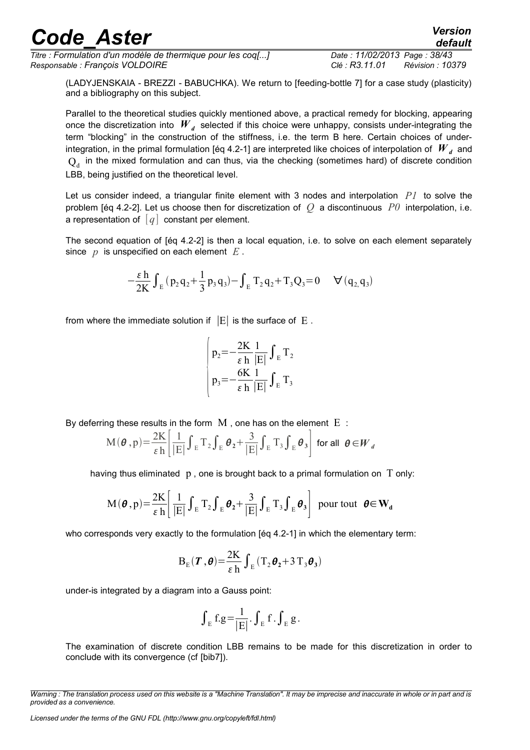*Titre : Formulation d'un modèle de thermique pour les coq[...] Date : 11/02/2013 Page : 38/43 Responsable : François VOLDOIRE Clé : R3.11.01 Révision : 10379*

*default*

(LADYJENSKAIA - BREZZI - BABUCHKA). We return to [feeding-bottle 7] for a case study (plasticity) and a bibliography on this subject.

Parallel to the theoretical studies quickly mentioned above, a practical remedy for blocking, appearing once the discretization into  $\left| W \right|_d$  selected if this choice were unhappy, consists under-integrating the term "blocking" in the construction of the stiffness, i.e. the term B here. Certain choices of underintegration, in the primal formulation [éq 4.2-1] are interpreted like choices of interpolation of  $\left. W_{\,\,d} \right.$  and  $Q_d$  in the mixed formulation and can thus, via the checking (sometimes hard) of discrete condition LBB, being justified on the theoretical level.

Let us consider indeed, a triangular finite element with 3 nodes and interpolation *P1* to solve the problem [éq 4.2-2]. Let us choose then for discretization of *Q* a discontinuous *P0* interpolation, i.e. a representation of  $\lceil q \rceil$  constant per element.

The second equation of [éq 4.2-2] is then a local equation, i.e. to solve on each element separately since *p* is unspecified on each element *E* .

$$
-\frac{\epsilon\,h}{2K}\int_{E}\left(p_{2}\,q_{2}+\frac{1}{3}\,p_{3}\,q_{3}\right)-\int_{E}\,T_{2}\,q_{2}+T_{3}Q_{3}\!=\!0\quad\forall\,(q_{2,}q_{3})
$$

from where the immediate solution if  $|E|$  is the surface of  $E$ .

$$
\begin{cases}\np_2 = -\frac{2K}{\varepsilon h} \frac{1}{|E|} \int_E T_2 \\
p_3 = -\frac{6K}{\varepsilon h} \frac{1}{|E|} \int_E T_3\n\end{cases}
$$

By deferring these results in the form  $M$ , one has on the element  $E$ :

$$
M(\boldsymbol{\theta}, p) = \frac{2K}{\varepsilon h} \left[ \frac{1}{|E|} \int_{E} T_{2} \int_{E} \boldsymbol{\theta}_{2} + \frac{3}{|E|} \int_{E} T_{3} \int_{E} \boldsymbol{\theta}_{3} \right] \text{ for all } \boldsymbol{\theta} \in \boldsymbol{W}_{d}
$$

having thus eliminated  $p$ , one is brought back to a primal formulation on  $T$  only:

$$
M(\boldsymbol{\theta}, p) = \frac{2K}{\varepsilon h} \left[ \frac{1}{|E|} \int_{E} T_{2} \int_{E} \boldsymbol{\theta}_{2} + \frac{3}{|E|} \int_{E} T_{3} \int_{E} \boldsymbol{\theta}_{3} \right]
$$
 pour tout  $\boldsymbol{\theta} \in W_{d}$ 

who corresponds very exactly to the formulation [éq 4.2-1] in which the elementary term:

$$
\mathbf{B}_{\mathrm{E}}(\boldsymbol{\varGamma},\boldsymbol{\theta})\mathbf{=}\frac{2K}{\epsilon\,h}\int_{\mathrm{E}}\left(\mathrm{T}_{2}\boldsymbol{\theta}_{2}\mathbf{+}3\,\mathrm{T}_{3}\boldsymbol{\theta}_{3}\right)
$$

under-is integrated by a diagram into a Gauss point:

$$
\int_{E} f.g = \frac{1}{|E|} \cdot \int_{E} f \cdot \int_{E} g \, .
$$

The examination of discrete condition LBB remains to be made for this discretization in order to conclude with its convergence (cf [bib7]).

*Warning : The translation process used on this website is a "Machine Translation". It may be imprecise and inaccurate in whole or in part and is provided as a convenience.*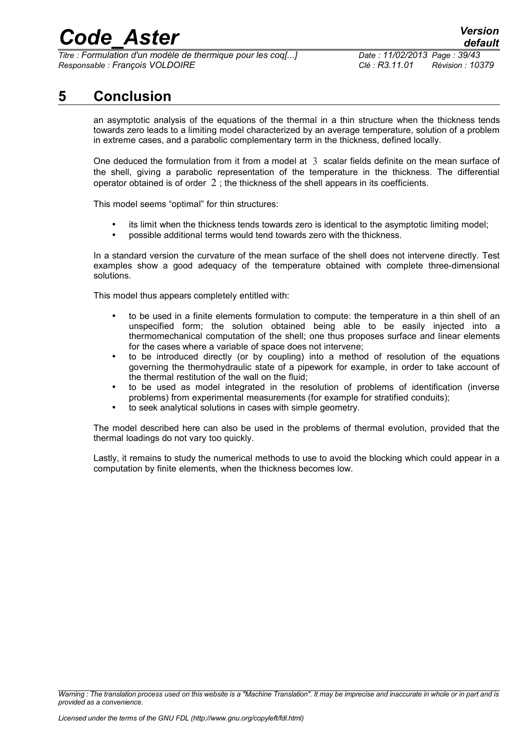*Titre : Formulation d'un modèle de thermique pour les coq[...] Date : 11/02/2013 Page : 39/43 Responsable : François VOLDOIRE Clé : R3.11.01 Révision : 10379*

### **5 Conclusion**

<span id="page-38-0"></span>an asymptotic analysis of the equations of the thermal in a thin structure when the thickness tends towards zero leads to a limiting model characterized by an average temperature, solution of a problem in extreme cases, and a parabolic complementary term in the thickness, defined locally.

One deduced the formulation from it from a model at 3 scalar fields definite on the mean surface of the shell, giving a parabolic representation of the temperature in the thickness. The differential operator obtained is of order  $2$ : the thickness of the shell appears in its coefficients.

This model seems "optimal" for thin structures:

- its limit when the thickness tends towards zero is identical to the asymptotic limiting model;
- possible additional terms would tend towards zero with the thickness.

In a standard version the curvature of the mean surface of the shell does not intervene directly. Test examples show a good adequacy of the temperature obtained with complete three-dimensional solutions.

This model thus appears completely entitled with:

- to be used in a finite elements formulation to compute: the temperature in a thin shell of an unspecified form; the solution obtained being able to be easily injected into a thermomechanical computation of the shell; one thus proposes surface and linear elements for the cases where a variable of space does not intervene;
- to be introduced directly (or by coupling) into a method of resolution of the equations governing the thermohydraulic state of a pipework for example, in order to take account of the thermal restitution of the wall on the fluid;
- to be used as model integrated in the resolution of problems of identification (inverse problems) from experimental measurements (for example for stratified conduits);
- to seek analytical solutions in cases with simple geometry.

The model described here can also be used in the problems of thermal evolution, provided that the thermal loadings do not vary too quickly.

Lastly, it remains to study the numerical methods to use to avoid the blocking which could appear in a computation by finite elements, when the thickness becomes low.

*Warning : The translation process used on this website is a "Machine Translation". It may be imprecise and inaccurate in whole or in part and is provided as a convenience.*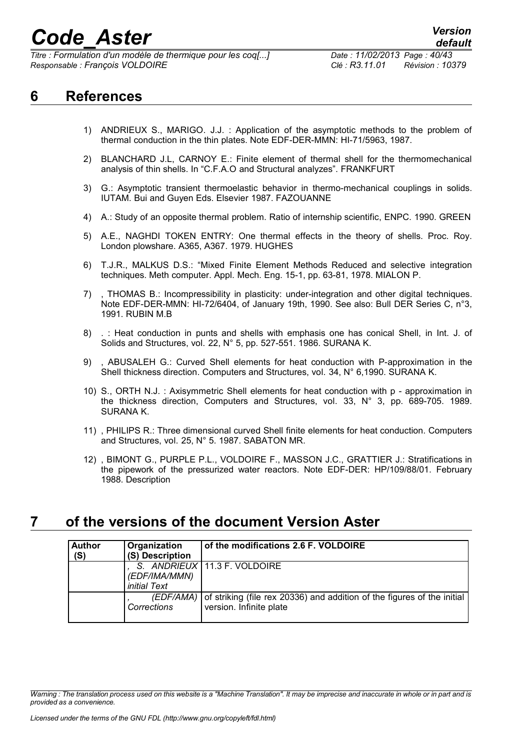*Titre : Formulation d'un modèle de thermique pour les coq[...] Date : 11/02/2013 Page : 40/43 Responsable : François VOLDOIRE Clé : R3.11.01 Révision : 10379*

### <span id="page-39-1"></span>**6 References**

- 1) ANDRIEUX S., MARIGO. J.J. : Application of the asymptotic methods to the problem of thermal conduction in the thin plates. Note EDF-DER-MMN: HI-71/5963, 1987.
- 2) BLANCHARD J.L, CARNOY E.: Finite element of thermal shell for the thermomechanical analysis of thin shells. In "C.F.A.O and Structural analyzes". FRANKFURT
- 3) G.: Asymptotic transient thermoelastic behavior in thermo-mechanical couplings in solids. IUTAM. Bui and Guyen Eds. Elsevier 1987. FAZOUANNE
- 4) A.: Study of an opposite thermal problem. Ratio of internship scientific, ENPC. 1990. GREEN
- 5) A.E., NAGHDI TOKEN ENTRY: One thermal effects in the theory of shells. Proc. Roy. London plowshare. A365, A367. 1979. HUGHES
- 6) T.J.R., MALKUS D.S.: "Mixed Finite Element Methods Reduced and selective integration techniques. Meth computer. Appl. Mech. Eng. 15-1, pp. 63-81, 1978. MIALON P.
- 7) , THOMAS B.: Incompressibility in plasticity: under-integration and other digital techniques. Note EDF-DER-MMN: HI-72/6404, of January 19th, 1990. See also: Bull DER Series C, n°3, 1991. RUBIN M.B
- 8) . : Heat conduction in punts and shells with emphasis one has conical Shell, in Int. J. of Solids and Structures, vol. 22, N° 5, pp. 527-551. 1986. SURANA K.
- 9) , ABUSALEH G.: Curved Shell elements for heat conduction with P-approximation in the Shell thickness direction. Computers and Structures, vol. 34, N° 6,1990. SURANA K.
- 10) S., ORTH N.J. : Axisymmetric Shell elements for heat conduction with p approximation in the thickness direction, Computers and Structures, vol. 33, N° 3, pp. 689-705. 1989. SURANA K.
- 11) , PHILIPS R.: Three dimensional curved Shell finite elements for heat conduction. Computers and Structures, vol. 25, N° 5. 1987. SABATON MR.
- 12) , BIMONT G., PURPLE P.L., VOLDOIRE F., MASSON J.C., GRATTIER J.: Stratifications in the pipework of the pressurized water reactors. Note EDF-DER: HP/109/88/01. February 1988. Description

### **7 of the versions of the document Version Aster**

<span id="page-39-0"></span>

| <b>Author</b> | Organization        | of the modifications 2.6 F. VOLDOIRE                                              |
|---------------|---------------------|-----------------------------------------------------------------------------------|
| (S)           | (S) Description     |                                                                                   |
|               |                     | S. ANDRIEUX   11.3 F. VOLDOIRE                                                    |
|               | (EDF/IMA/MMN)       |                                                                                   |
|               | <i>initial Text</i> |                                                                                   |
|               |                     | (EDF/AMA) of striking (file rex 20336) and addition of the figures of the initial |
|               | Corrections         | version. Infinite plate                                                           |
|               |                     |                                                                                   |

*Warning : The translation process used on this website is a "Machine Translation". It may be imprecise and inaccurate in whole or in part and is provided as a convenience.*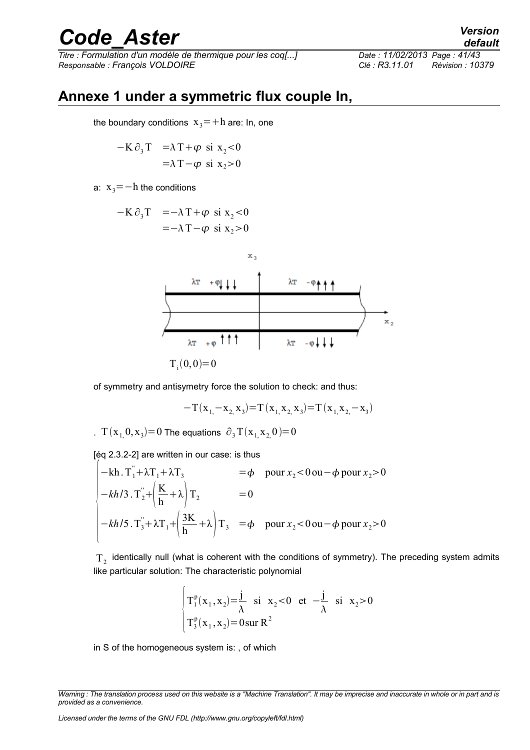*Titre : Formulation d'un modèle de thermique pour les coq[...] Date : 11/02/2013 Page : 41/43 Responsable : François VOLDOIRE Clé : R3.11.01 Révision : 10379*

### **Annexe 1 under a symmetric flux couple In,**

<span id="page-40-0"></span>the boundary conditions  $x_3 = +h$  are: In, one

$$
-K \partial_3 T = \lambda T + \varphi \text{ si } x_2 < 0
$$
  
=  $\lambda T - \varphi \text{ si } x_2 > 0$ 

a:  $x_3$ = −h the conditions

$$
-K \partial_3 T = -\lambda T + \varphi \text{ si } x_2 < 0
$$
  
= -\lambda T - \varphi \text{ si } x\_2 > 0



of symmetry and antisymetry force the solution to check: and thus:

$$
-T(x_{1,-}x_{2,}x_{3})=T(x_{1,}x_{2,}x_{3})=T(x_{1,}x_{2,-}x_{3})
$$

. T  $(x_1, 0, x_3) = 0$  The equations  $\partial_3 T(x_1, x_2, 0) = 0$ 

[éq 2.3.2-2] are written in our case: is thus

$$
\begin{vmatrix}\n-\mathbf{kh} \cdot \mathbf{T}_1 + \lambda \mathbf{T}_1 + \lambda \mathbf{T}_3 & = \phi & \text{pour } x_2 < 0 \text{ ou } -\phi \text{ pour } x_2 > 0 \\
-\mathbf{k} h / 3 \cdot \mathbf{T}_2 + \left(\frac{\mathbf{K}}{\mathbf{h}} + \lambda\right) \mathbf{T}_2 & = 0 \\
-\mathbf{k} h / 5 \cdot \mathbf{T}_3 + \lambda \mathbf{T}_1 + \left(\frac{3\mathbf{K}}{\mathbf{h}} + \lambda\right) \mathbf{T}_3 & = \phi & \text{pour } x_2 < 0 \text{ ou } -\phi \text{ pour } x_2 > 0\n\end{vmatrix}
$$

 $T_{2}$  identically null (what is coherent with the conditions of symmetry). The preceding system admits like particular solution: The characteristic polynomial

$$
\begin{cases}\nT_1^p(x_1, x_2) = \frac{j}{\lambda} & \text{si } x_2 < 0 \text{ et } -\frac{j}{\lambda} \text{ si } x_2 > 0 \\
T_3^p(x_1, x_2) = 0 & \text{sur } R^2\n\end{cases}
$$

in S of the homogeneous system is: , of which

*Warning : The translation process used on this website is a "Machine Translation". It may be imprecise and inaccurate in whole or in part and is provided as a convenience.*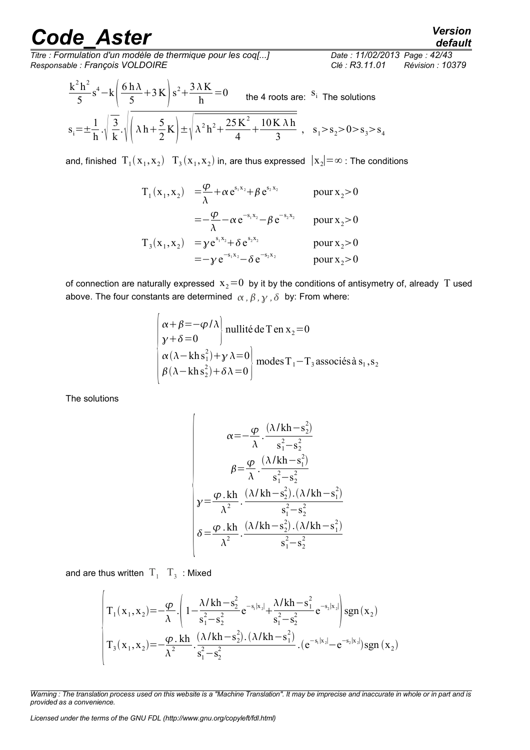*Titre : Formulation d'un modèle de thermique pour les coq[...] Date : 11/02/2013 Page : 42/43 Responsable : François VOLDOIRE Clé : R3.11.01 Révision : 10379*

$$
\frac{k^2h^2}{5}s^4 - k\left(\frac{6h\lambda}{5} + 3K\right)s^2 + \frac{3\lambda K}{h} = 0
$$
 the 4 roots are: <sup>S<sub>i</sub></sup> The solutions  

$$
s_i = \pm \frac{1}{h} \cdot \sqrt{\frac{3}{k}} \cdot \sqrt{\left(\lambda h + \frac{5}{2}K\right)} \pm \sqrt{\lambda^2 h^2 + \frac{25K^2}{4} + \frac{10K\lambda h}{3}} , \quad s_1 > s_2 > 0 > s_3 > s_4
$$

and, finished  $T_1(x_1, x_2)$   $T_3(x_1, x_2)$  in, are thus expressed  $|x_2| = \infty$  : The conditions

$$
T_1(x_1, x_2) = \frac{\varphi}{\lambda} + \alpha e^{s_1 x_2} + \beta e^{s_2 x_2}
$$
 pour  $x_2 > 0$   
\n
$$
= -\frac{\varphi}{\lambda} - \alpha e^{-s_1 x_2} - \beta e^{-s_2 x_2}
$$
 pour  $x_2 > 0$   
\n
$$
T_3(x_1, x_2) = \gamma e^{s_1 x_2} + \delta e^{s_2 x_2}
$$
 pour  $x_2 > 0$   
\n
$$
= -\gamma e^{-s_1 x_2} - \delta e^{-s_2 x_2}
$$
 pour  $x_2 > 0$ 

of connection are naturally expressed  $x_2=0$  by it by the conditions of antisymetry of, already T used above. The four constants are determined  $\alpha$ ,  $\beta$ ,  $\gamma$ ,  $\delta$  by: From where:

$$
\begin{cases}\n\alpha + \beta = -\varphi/\lambda \\
y + \delta = 0\n\end{cases}
$$
nullité de T en x<sub>2</sub> = 0  
\n
$$
\alpha(\lambda - \lambda \ln s_1^2) + y \lambda = 0
$$
  
\n
$$
\beta(\lambda - \lambda \ln s_2^2) + \delta \lambda = 0
$$
  
\n
$$
\beta = 0
$$

The solutions

$$
\alpha = -\frac{\varphi}{\lambda} \cdot \frac{(\lambda/kh - s_2^2)}{s_1^2 - s_2^2}
$$

$$
\beta = \frac{\varphi}{\lambda} \cdot \frac{(\lambda/kh - s_1^2)}{s_1^2 - s_2^2}
$$

$$
\gamma = \frac{\varphi \cdot kh}{\lambda^2} \cdot \frac{(\lambda/kh - s_2^2) \cdot (\lambda/kh - s_1^2)}{s_1^2 - s_2^2}
$$

$$
\delta = \frac{\varphi \cdot kh}{\lambda^2} \cdot \frac{(\lambda/kh - s_2^2) \cdot (\lambda/kh - s_1^2)}{s_1^2 - s_2^2}
$$

and are thus written  $\mathrm{T}_1^+ \mathrm{T}_3^-$  : Mixed

$$
\begin{pmatrix}\nT_1(x_1, x_2) = -\frac{\varphi}{\lambda} \cdot \left(1 - \frac{\lambda/\kappa h - s_2^2}{s_1^2 - s_2^2} e^{-s_1 |x_2|} + \frac{\lambda/\kappa h - s_1^2}{s_1^2 - s_2^2} e^{-s_2 |x_2|}\right) sgn(x_2) \\
T_3(x_1, x_2) = -\frac{\varphi \cdot k h}{\lambda^2} \cdot \frac{(\lambda/\kappa h - s_2^2) \cdot (\lambda/kh - s_1^2)}{s_1^2 - s_2^2} \cdot (e^{-s_1 |x_2|} - e^{-s_2 |x_2|}) sgn(x_2)\n\end{pmatrix}
$$

*Licensed under the terms of the GNU FDL (http://www.gnu.org/copyleft/fdl.html)*

*default*

*Warning : The translation process used on this website is a "Machine Translation". It may be imprecise and inaccurate in whole or in part and is provided as a convenience.*